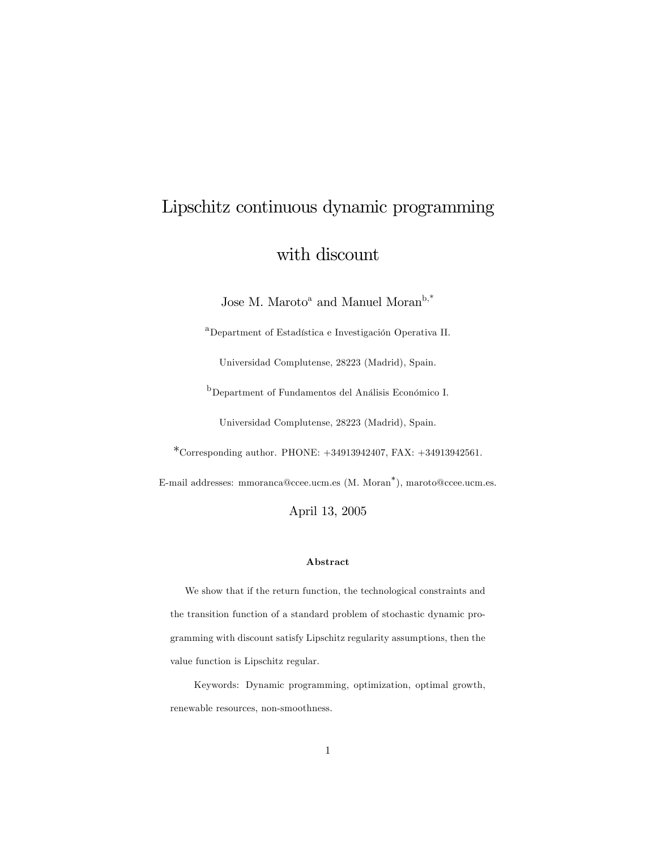# Lipschitz continuous dynamic programming

# with discount

Jose M. Maroto<sup>a</sup> and Manuel Moran<sup>b,\*</sup>

<sup>a</sup>Department of Estadística e Investigación Operativa II.

Universidad Complutense, 28223 (Madrid), Spain.

<sup>b</sup>Department of Fundamentos del Análisis Económico I.

Universidad Complutense, 28223 (Madrid), Spain.

\*Corresponding author. PHONE: +34913942407, FAX: +34913942561.

E-mail addresses: mmoranca@ccee.ucm.es (M. Moran<sup>\*</sup>), maroto@ccee.ucm.es.

April 13, 2005

#### Abstract

We show that if the return function, the technological constraints and the transition function of a standard problem of stochastic dynamic programming with discount satisfy Lipschitz regularity assumptions, then the value function is Lipschitz regular.

Keywords: Dynamic programming, optimization, optimal growth, renewable resources, non-smoothness.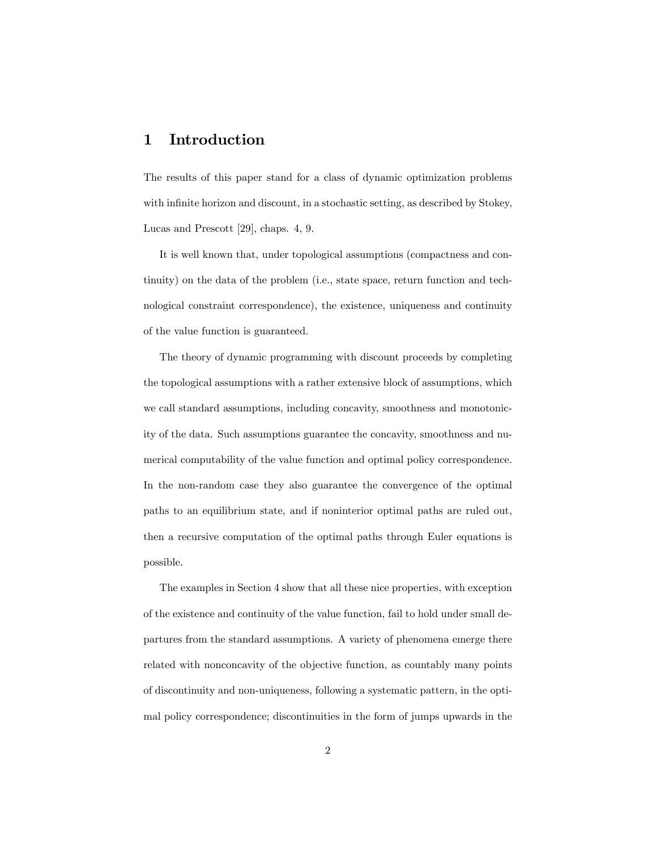# 1 Introduction

The results of this paper stand for a class of dynamic optimization problems with infinite horizon and discount, in a stochastic setting, as described by Stokey, Lucas and Prescott [29], chaps. 4, 9.

It is well known that, under topological assumptions (compactness and continuity) on the data of the problem (i.e., state space, return function and technological constraint correspondence), the existence, uniqueness and continuity of the value function is guaranteed.

The theory of dynamic programming with discount proceeds by completing the topological assumptions with a rather extensive block of assumptions, which we call standard assumptions, including concavity, smoothness and monotonicity of the data. Such assumptions guarantee the concavity, smoothness and numerical computability of the value function and optimal policy correspondence. In the non-random case they also guarantee the convergence of the optimal paths to an equilibrium state, and if noninterior optimal paths are ruled out, then a recursive computation of the optimal paths through Euler equations is possible.

The examples in Section 4 show that all these nice properties, with exception of the existence and continuity of the value function, fail to hold under small departures from the standard assumptions. A variety of phenomena emerge there related with nonconcavity of the objective function, as countably many points of discontinuity and non-uniqueness, following a systematic pattern, in the optimal policy correspondence; discontinuities in the form of jumps upwards in the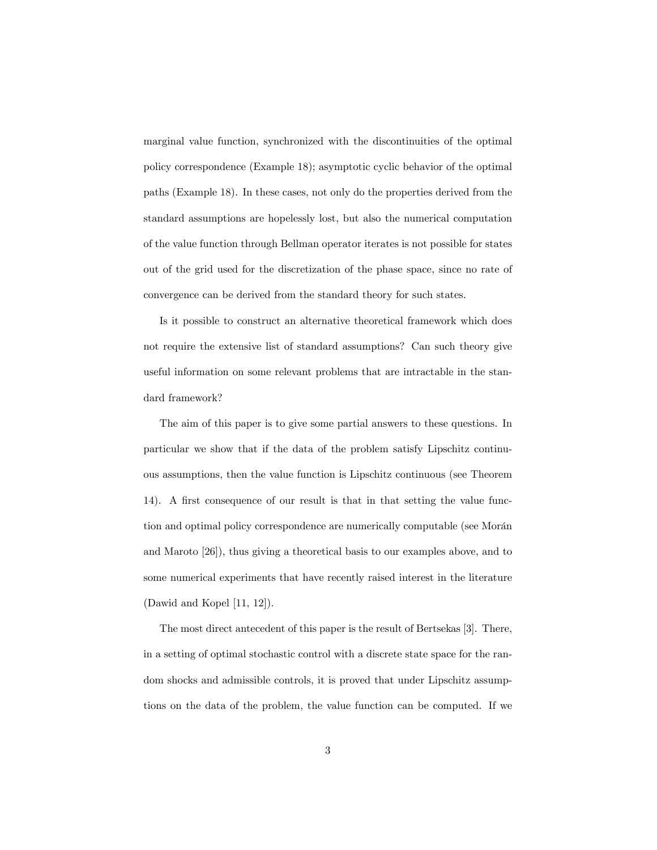marginal value function, synchronized with the discontinuities of the optimal policy correspondence (Example 18); asymptotic cyclic behavior of the optimal paths (Example 18). In these cases, not only do the properties derived from the standard assumptions are hopelessly lost, but also the numerical computation of the value function through Bellman operator iterates is not possible for states out of the grid used for the discretization of the phase space, since no rate of convergence can be derived from the standard theory for such states.

Is it possible to construct an alternative theoretical framework which does not require the extensive list of standard assumptions? Can such theory give useful information on some relevant problems that are intractable in the standard framework?

The aim of this paper is to give some partial answers to these questions. In particular we show that if the data of the problem satisfy Lipschitz continuous assumptions, then the value function is Lipschitz continuous (see Theorem 14). A first consequence of our result is that in that setting the value function and optimal policy correspondence are numerically computable (see Morán and Maroto [26]), thus giving a theoretical basis to our examples above, and to some numerical experiments that have recently raised interest in the literature (Dawid and Kopel [11, 12]).

The most direct antecedent of this paper is the result of Bertsekas [3]. There, in a setting of optimal stochastic control with a discrete state space for the random shocks and admissible controls, it is proved that under Lipschitz assumptions on the data of the problem, the value function can be computed. If we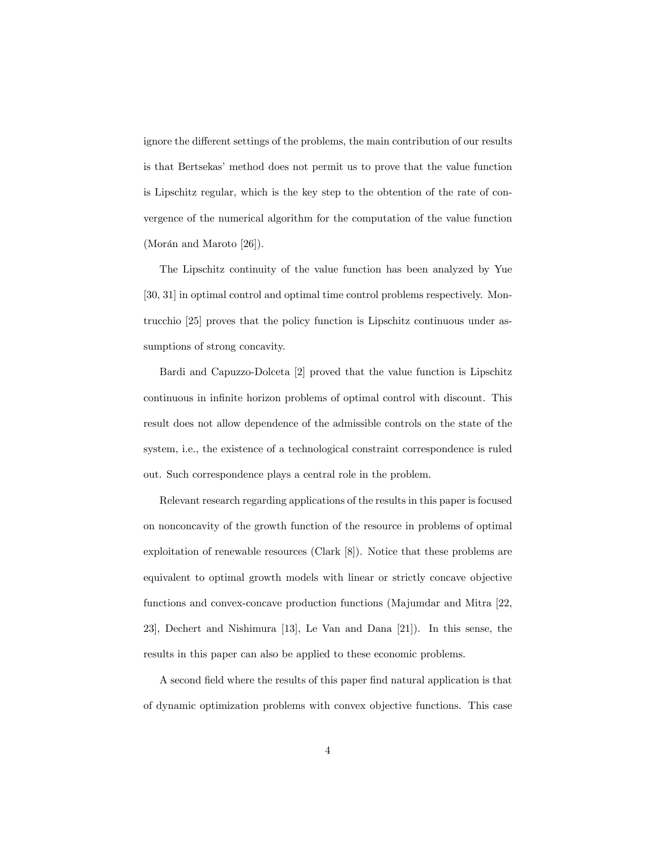ignore the different settings of the problems, the main contribution of our results is that Bertsekasímethod does not permit us to prove that the value function is Lipschitz regular, which is the key step to the obtention of the rate of convergence of the numerical algorithm for the computation of the value function  $(Morán and Maroto [26]).$ 

The Lipschitz continuity of the value function has been analyzed by Yue [30, 31] in optimal control and optimal time control problems respectively. Montrucchio [25] proves that the policy function is Lipschitz continuous under assumptions of strong concavity.

Bardi and Capuzzo-Dolceta [2] proved that the value function is Lipschitz continuous in infinite horizon problems of optimal control with discount. This result does not allow dependence of the admissible controls on the state of the system, i.e., the existence of a technological constraint correspondence is ruled out. Such correspondence plays a central role in the problem.

Relevant research regarding applications of the results in this paper is focused on nonconcavity of the growth function of the resource in problems of optimal exploitation of renewable resources (Clark [8]). Notice that these problems are equivalent to optimal growth models with linear or strictly concave objective functions and convex-concave production functions (Majumdar and Mitra [22, 23], Dechert and Nishimura [13], Le Van and Dana [21]). In this sense, the results in this paper can also be applied to these economic problems.

A second field where the results of this paper find natural application is that of dynamic optimization problems with convex objective functions. This case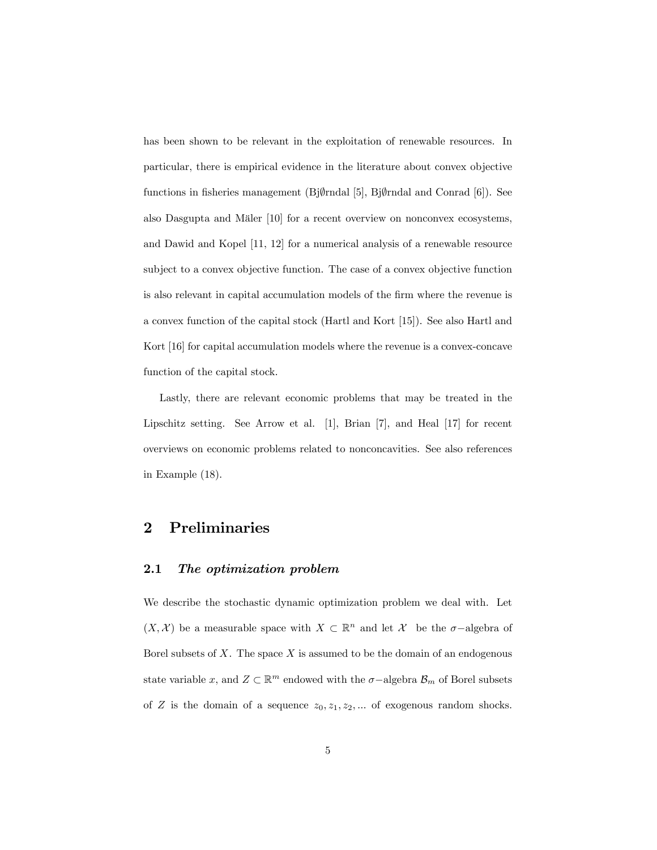has been shown to be relevant in the exploitation of renewable resources. In particular, there is empirical evidence in the literature about convex objective functions in fisheries management (Bj $\emptyset$ rndal [5], Bj $\emptyset$ rndal and Conrad [6]). See also Dasgupta and Mäler [10] for a recent overview on nonconvex ecosystems, and Dawid and Kopel [11, 12] for a numerical analysis of a renewable resource subject to a convex objective function. The case of a convex objective function is also relevant in capital accumulation models of the firm where the revenue is a convex function of the capital stock (Hartl and Kort [15]). See also Hartl and Kort [16] for capital accumulation models where the revenue is a convex-concave function of the capital stock.

Lastly, there are relevant economic problems that may be treated in the Lipschitz setting. See Arrow et al. [1], Brian [7], and Heal [17] for recent overviews on economic problems related to nonconcavities. See also references in Example (18).

# 2 Preliminaries

#### 2.1 The optimization problem

We describe the stochastic dynamic optimization problem we deal with. Let  $(X, \mathcal{X})$  be a measurable space with  $X \subset \mathbb{R}^n$  and let  $\mathcal{X}$  be the  $\sigma$ -algebra of Borel subsets of  $X$ . The space  $X$  is assumed to be the domain of an endogenous state variable x, and  $Z \subset \mathbb{R}^m$  endowed with the  $\sigma$ -algebra  $\mathcal{B}_m$  of Borel subsets of Z is the domain of a sequence  $z_0, z_1, z_2, \dots$  of exogenous random shocks.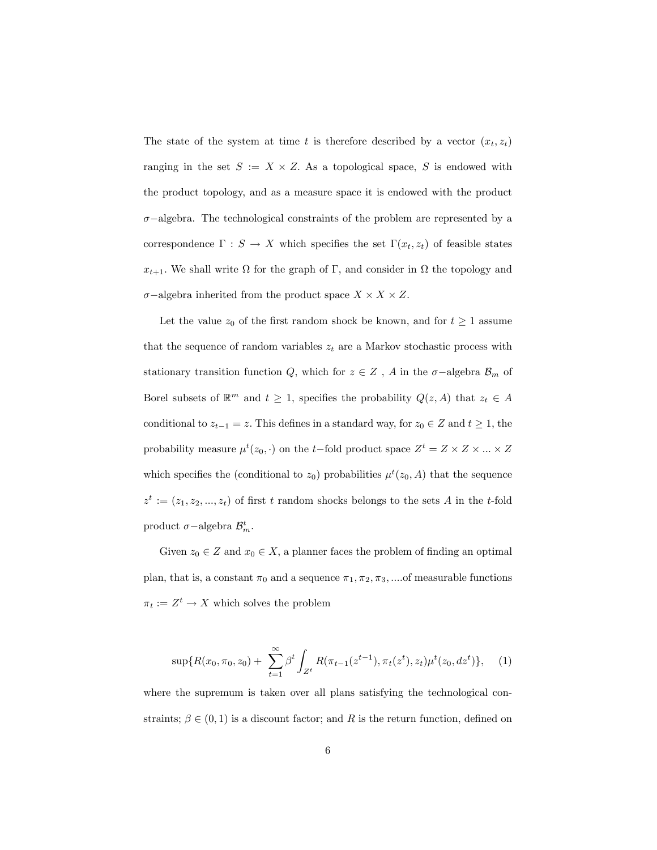The state of the system at time t is therefore described by a vector  $(x_t, z_t)$ ranging in the set  $S := X \times Z$ . As a topological space, S is endowed with the product topology, and as a measure space it is endowed with the product  $\sigma$ -algebra. The technological constraints of the problem are represented by a correspondence  $\Gamma : S \to X$  which specifies the set  $\Gamma(x_t, z_t)$  of feasible states  $x_{t+1}$ . We shall write  $\Omega$  for the graph of  $\Gamma$ , and consider in  $\Omega$  the topology and  $\sigma$ -algebra inherited from the product space  $X \times X \times Z$ .

Let the value  $z_0$  of the first random shock be known, and for  $t \geq 1$  assume that the sequence of random variables  $z_t$  are a Markov stochastic process with stationary transition function Q, which for  $z \in Z$ , A in the  $\sigma$ -algebra  $\mathcal{B}_m$  of Borel subsets of  $\mathbb{R}^m$  and  $t \geq 1$ , specifies the probability  $Q(z, A)$  that  $z_t \in A$ conditional to  $z_{t-1} = z$ . This defines in a standard way, for  $z_0 \in Z$  and  $t \ge 1$ , the probability measure  $\mu^t(z_0, \cdot)$  on the t-fold product space  $Z^t = Z \times Z \times ... \times Z$ which specifies the (conditional to  $z_0$ ) probabilities  $\mu^t(z_0, A)$  that the sequence  $z^t := (z_1, z_2, ..., z_t)$  of first t random shocks belongs to the sets A in the t-fold product  $\sigma$ -algebra  $\mathcal{B}_m^t$ .

Given  $z_0 \in Z$  and  $x_0 \in X$ , a planner faces the problem of finding an optimal plan, that is, a constant  $\pi_0$  and a sequence  $\pi_1, \pi_2, \pi_3, \dots$  of measurable functions  $\pi_t := Z^t \to X$  which solves the problem

$$
\sup\{R(x_0,\pi_0,z_0)+\sum_{t=1}^{\infty}\beta^t\int_{Z^t}R(\pi_{t-1}(z^{t-1}),\pi_t(z^t),z_t)\mu^t(z_0,dz^t)\},\quad(1)
$$

where the supremum is taken over all plans satisfying the technological constraints;  $\beta \in (0,1)$  is a discount factor; and R is the return function, defined on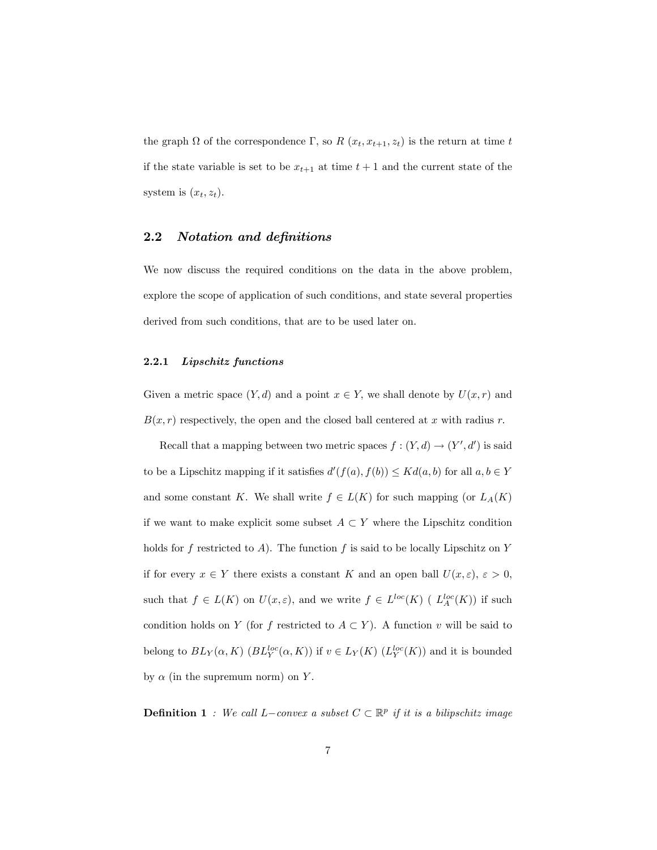the graph  $\Omega$  of the correspondence  $\Gamma$ , so  $R(x_t, x_{t+1}, z_t)$  is the return at time t if the state variable is set to be  $x_{t+1}$  at time  $t+1$  and the current state of the system is  $(x_t, z_t)$ .

## 2.2 Notation and definitions

We now discuss the required conditions on the data in the above problem, explore the scope of application of such conditions, and state several properties derived from such conditions, that are to be used later on.

#### 2.2.1 Lipschitz functions

Given a metric space  $(Y, d)$  and a point  $x \in Y$ , we shall denote by  $U(x, r)$  and  $B(x, r)$  respectively, the open and the closed ball centered at x with radius r.

Recall that a mapping between two metric spaces  $f : (Y, d) \to (Y', d')$  is said to be a Lipschitz mapping if it satisfies  $d'(f(a), f(b)) \leq K d(a, b)$  for all  $a, b \in Y$ and some constant K. We shall write  $f \in L(K)$  for such mapping (or  $L_A(K)$ ) if we want to make explicit some subset  $A \subset Y$  where the Lipschitz condition holds for f restricted to A). The function f is said to be locally Lipschitz on  $Y$ if for every  $x \in Y$  there exists a constant K and an open ball  $U(x, \varepsilon)$ ,  $\varepsilon > 0$ , such that  $f \in L(K)$  on  $U(x, \varepsilon)$ , and we write  $f \in L^{loc}(K)$  (  $L_A^{loc}(K)$ ) if such condition holds on Y (for f restricted to  $A \subset Y$ ). A function v will be said to belong to  $BL_Y(\alpha, K)$   $(BL_Y^{loc}(\alpha, K))$  if  $v \in L_Y(K)$   $(L_Y^{loc}(K))$  and it is bounded by  $\alpha$  (in the supremum norm) on Y.

**Definition 1** : We call L-convex a subset  $C \subset \mathbb{R}^p$  if it is a bilipschitz image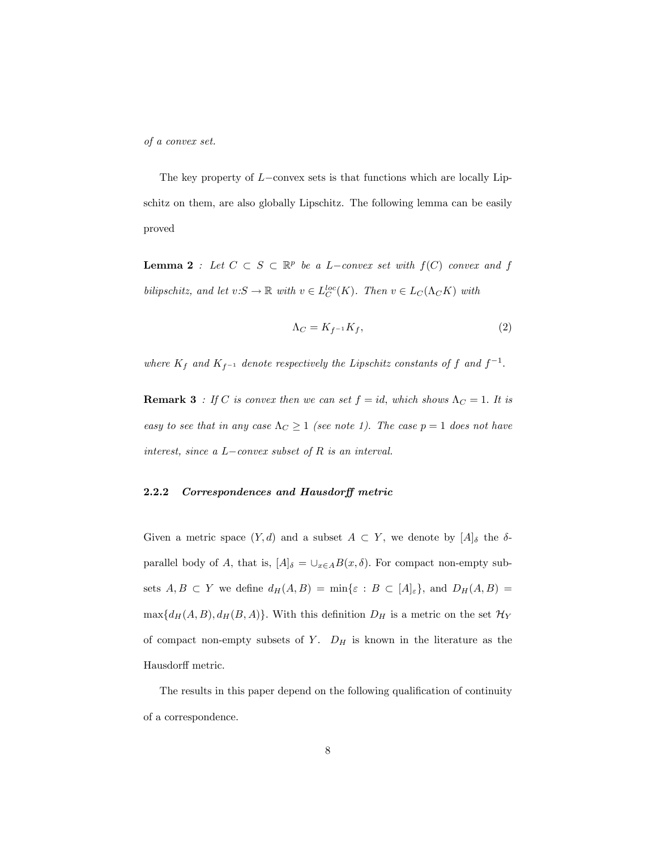of a convex set.

The key property of  $L$ -convex sets is that functions which are locally Lipschitz on them, are also globally Lipschitz. The following lemma can be easily proved

**Lemma 2**: Let  $C \subset S \subset \mathbb{R}^p$  be a L-convex set with  $f(C)$  convex and f bilipschitz, and let  $v: S \to \mathbb{R}$  with  $v \in L_C^{loc}(K)$ . Then  $v \in L_C(\Lambda_C K)$  with

$$
\Lambda_C = K_{f^{-1}} K_f,\tag{2}
$$

where  $K_f$  and  $K_{f^{-1}}$  denote respectively the Lipschitz constants of f and  $f^{-1}$ .

**Remark 3** : If C is convex then we can set  $f = id$ , which shows  $\Lambda_C = 1$ . It is easy to see that in any case  $\Lambda_C \ge 1$  (see note 1). The case  $p = 1$  does not have interest, since a  $L$ -convex subset of  $R$  is an interval.

#### 2.2.2 Correspondences and Hausdorff metric

Given a metric space  $(Y, d)$  and a subset  $A \subset Y$ , we denote by  $[A]_{\delta}$  the  $\delta$ parallel body of A, that is,  $[A]_{\delta} = \bigcup_{x \in A} B(x, \delta)$ . For compact non-empty subsets  $A, B \subset Y$  we define  $d_H(A, B) = \min\{\varepsilon : B \subset [A]_{\varepsilon}\}\$ , and  $D_H(A, B) =$  $\max\{d_H(A, B), d_H(B, A)\}.$  With this definition  $D_H$  is a metric on the set  $\mathcal{H}_Y$ of compact non-empty subsets of Y.  $D_H$  is known in the literature as the Hausdorff metric.

The results in this paper depend on the following qualification of continuity of a correspondence.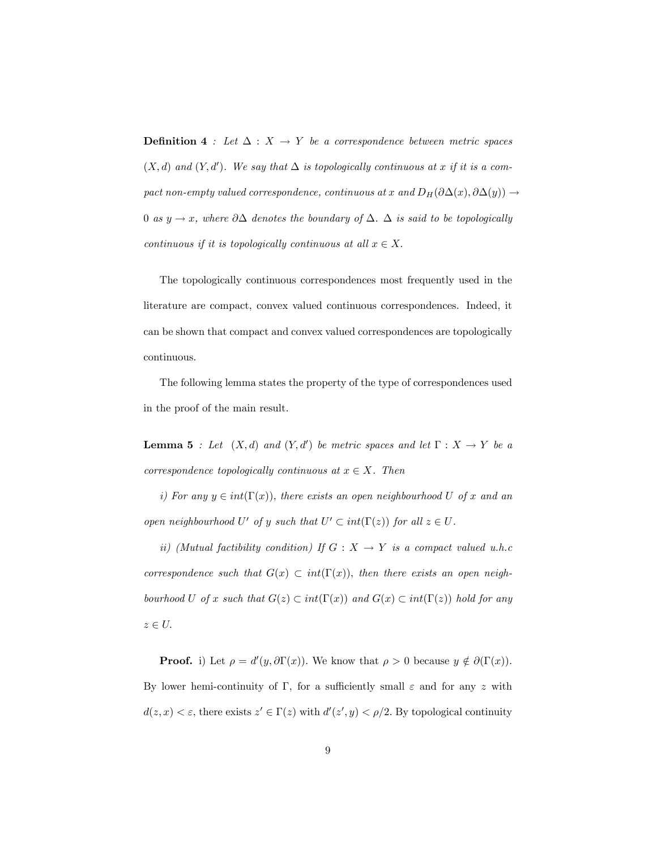**Definition 4** : Let  $\Delta$  :  $X \rightarrow Y$  be a correspondence between metric spaces  $(X, d)$  and  $(Y, d')$ . We say that  $\Delta$  is topologically continuous at x if it is a compact non-empty valued correspondence, continuous at x and  $D_H(\partial \Delta(x), \partial \Delta(y)) \rightarrow$ 0 as  $y \to x$ , where  $\partial \Delta$  denotes the boundary of  $\Delta$ .  $\Delta$  is said to be topologically continuous if it is topologically continuous at all  $x \in X$ .

The topologically continuous correspondences most frequently used in the literature are compact, convex valued continuous correspondences. Indeed, it can be shown that compact and convex valued correspondences are topologically continuous.

The following lemma states the property of the type of correspondences used in the proof of the main result.

**Lemma 5** : Let  $(X,d)$  and  $(Y,d')$  be metric spaces and let  $\Gamma : X \to Y$  be a correspondence topologically continuous at  $x \in X$ . Then

i) For any  $y \in int(\Gamma(x))$ , there exists an open neighbourhood U of x and an open neighbourhood U' of y such that  $U' \subset int(\Gamma(z))$  for all  $z \in U$ .

ii) (Mutual factibility condition) If  $G: X \rightarrow Y$  is a compact valued u.h.c correspondence such that  $G(x) \subset int(\Gamma(x))$ , then there exists an open neighbourhood U of x such that  $G(z) \subset int(\Gamma(x))$  and  $G(x) \subset int(\Gamma(z))$  hold for any  $z \in U$ .

**Proof.** i) Let  $\rho = d'(y, \partial \Gamma(x))$ . We know that  $\rho > 0$  because  $y \notin \partial(\Gamma(x))$ . By lower hemi-continuity of  $\Gamma$ , for a sufficiently small  $\varepsilon$  and for any z with  $d(z, x) < \varepsilon$ , there exists  $z' \in \Gamma(z)$  with  $d'(z', y) < \rho/2$ . By topological continuity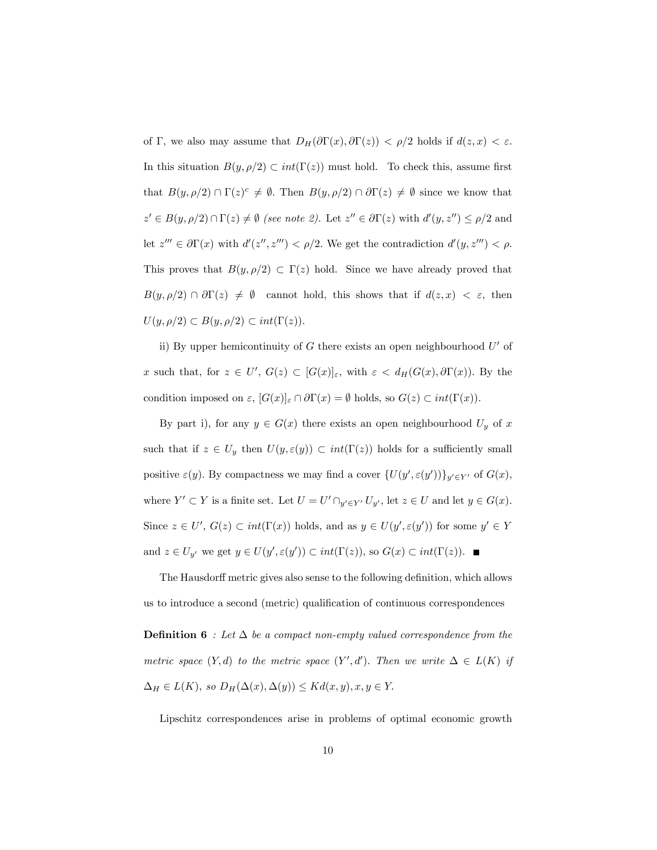of  $\Gamma$ , we also may assume that  $D_H(\partial \Gamma(x), \partial \Gamma(z)) < \rho/2$  holds if  $d(z, x) < \varepsilon$ . In this situation  $B(y, \rho/2) \subset int(\Gamma(z))$  must hold. To check this, assume first that  $B(y, \rho/2) \cap \Gamma(z)^c \neq \emptyset$ . Then  $B(y, \rho/2) \cap \partial \Gamma(z) \neq \emptyset$  since we know that  $z' \in B(y, \rho/2) \cap \Gamma(z) \neq \emptyset$  (see note 2). Let  $z'' \in \partial \Gamma(z)$  with  $d'(y, z'') \leq \rho/2$  and let  $z''' \in \partial \Gamma(x)$  with  $d'(z'', z''') < \rho/2$ . We get the contradiction  $d'(y, z''') < \rho$ . This proves that  $B(y, \rho/2) \subset \Gamma(z)$  hold. Since we have already proved that  $B(y, \rho/2) \cap \partial \Gamma(z) \neq \emptyset$  cannot hold, this shows that if  $d(z, x) < \varepsilon$ , then  $U(y, \rho/2) \subset B(y, \rho/2) \subset int(\Gamma(z)).$ 

ii) By upper hemicontinuity of G there exists an open neighbourhood  $U'$  of x such that, for  $z \in U'$ ,  $G(z) \subset [G(x)]_{\varepsilon}$ , with  $\varepsilon < d_H(G(x), \partial \Gamma(x))$ . By the condition imposed on  $\varepsilon$ ,  $[G(x)]_{\varepsilon} \cap \partial \Gamma(x) = \emptyset$  holds, so  $G(z) \subset int(\Gamma(x))$ .

By part i), for any  $y \in G(x)$  there exists an open neighbourhood  $U_y$  of x such that if  $z \in U_y$  then  $U(y, \varepsilon(y)) \subset int(\Gamma(z))$  holds for a sufficiently small positive  $\varepsilon(y)$ . By compactness we may find a cover  $\{U(y', \varepsilon(y'))\}_{y' \in Y'}$  of  $G(x)$ , where  $Y' \subset Y$  is a finite set. Let  $U = U' \cap_{y' \in Y'} U_{y'}$ , let  $z \in U$  and let  $y \in G(x)$ . Since  $z \in U'$ ,  $G(z) \subset int(\Gamma(x))$  holds, and as  $y \in U(y', \varepsilon(y'))$  for some  $y' \in Y$ and  $z \in U_{y'}$  we get  $y \in U(y', \varepsilon(y')) \subset int(\Gamma(z))$ , so  $G(x) \subset int(\Gamma(z))$ .

The Hausdorff metric gives also sense to the following definition, which allows us to introduce a second (metric) qualification of continuous correspondences

**Definition 6** : Let  $\Delta$  be a compact non-empty valued correspondence from the metric space  $(Y, d)$  to the metric space  $(Y', d')$ . Then we write  $\Delta \in L(K)$  if  $\Delta_H \in L(K)$ , so  $D_H(\Delta(x), \Delta(y)) \leq Kd(x, y), x, y \in Y$ .

Lipschitz correspondences arise in problems of optimal economic growth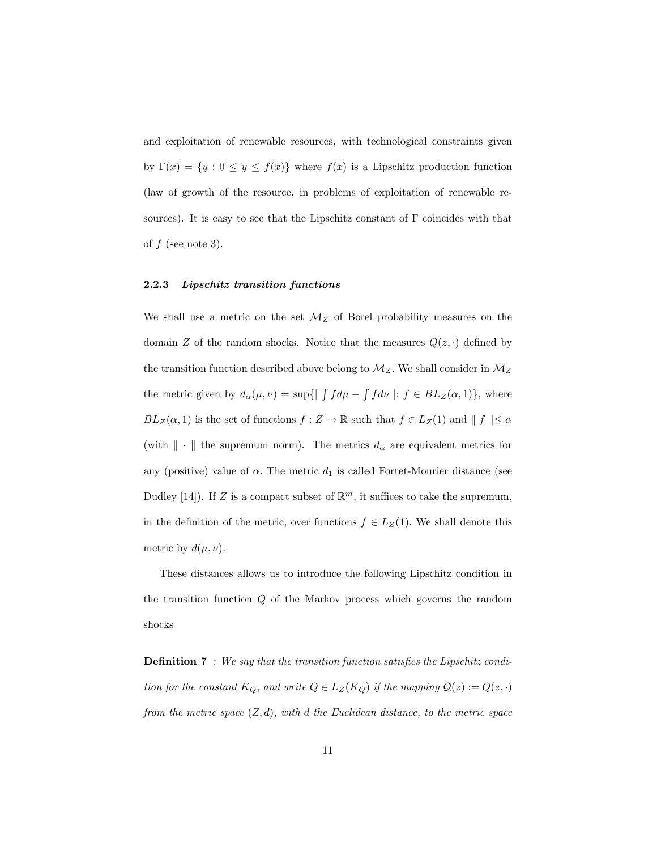and exploitation of renewable resources, with technological constraints given by  $\Gamma(x) = \{y : 0 \le y \le f(x)\}\$  where  $f(x)$  is a Lipschitz production function (law of growth of the resource, in problems of exploitation of renewable resources). It is easy to see that the Lipschitz constant of  $\Gamma$  coincides with that of  $f$  (see note 3).

#### 2.2.3 Lipschitz transition functions

We shall use a metric on the set  $\mathcal{M}_Z$  of Borel probability measures on the domain Z of the random shocks. Notice that the measures  $Q(z, \cdot)$  defined by the transition function described above belong to  $\mathcal{M}_Z$ . We shall consider in  $\mathcal{M}_Z$ the metric given by  $d_{\alpha}(\mu, \nu) = \sup\{|\int f d\mu - \int f d\nu| : f \in BL_Z(\alpha, 1)\}\,$ , where  $BL_Z(\alpha,1)$  is the set of functions  $f: Z \to \mathbb{R}$  such that  $f \in L_Z(1)$  and  $\parallel f \parallel \leq \alpha$ (with  $\|\cdot\|$  the supremum norm). The metrics  $d_{\alpha}$  are equivalent metrics for any (positive) value of  $\alpha$ . The metric  $d_1$  is called Fortet-Mourier distance (see Dudley [14]). If Z is a compact subset of  $\mathbb{R}^m$ , it suffices to take the supremum, in the definition of the metric, over functions  $f \in L_Z(1)$ . We shall denote this metric by  $d(\mu, \nu)$ .

These distances allows us to introduce the following Lipschitz condition in the transition function Q of the Markov process which governs the random shocks

**Definition 7** : We say that the transition function satisfies the Lipschitz condition for the constant  $K_Q$ , and write  $Q \in L_Z(K_Q)$  if the mapping  $\mathcal{Q}(z) := Q(z, \cdot)$ from the metric space  $(Z, d)$ , with d the Euclidean distance, to the metric space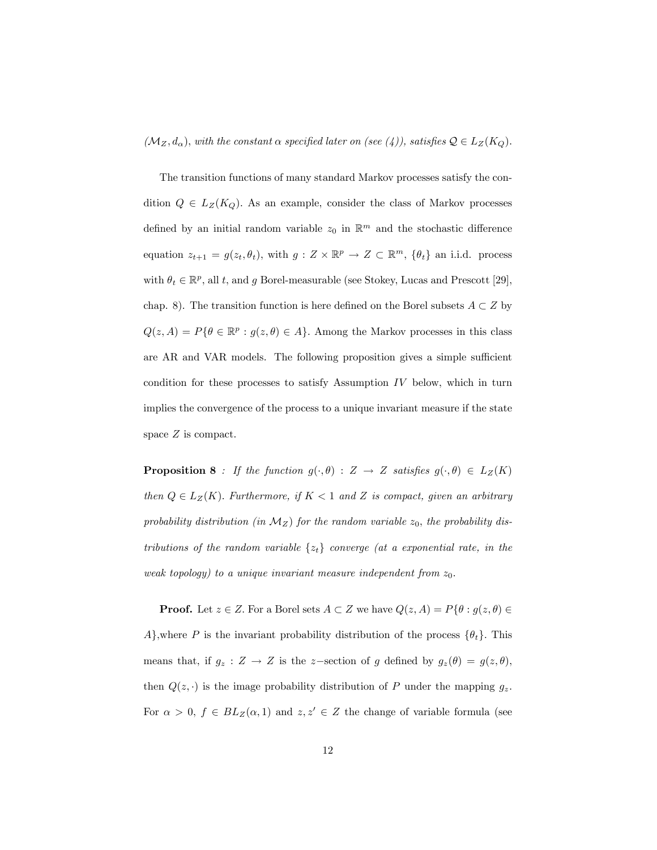$(\mathcal{M}_Z, d_\alpha)$ , with the constant  $\alpha$  specified later on (see (4)), satisfies  $\mathcal{Q} \in L_Z(K_Q)$ .

The transition functions of many standard Markov processes satisfy the condition  $Q \in L_Z(K_Q)$ . As an example, consider the class of Markov processes defined by an initial random variable  $z_0$  in  $\mathbb{R}^m$  and the stochastic difference equation  $z_{t+1} = g(z_t, \theta_t)$ , with  $g: Z \times \mathbb{R}^p \to Z \subset \mathbb{R}^m$ ,  $\{\theta_t\}$  an i.i.d. process with  $\theta_t \in \mathbb{R}^p$ , all t, and g Borel-measurable (see Stokey, Lucas and Prescott [29], chap. 8). The transition function is here defined on the Borel subsets  $A \subset Z$  by  $Q(z, A) = P\{\theta \in \mathbb{R}^p : g(z, \theta) \in A\}$ . Among the Markov processes in this class are AR and VAR models. The following proposition gives a simple sufficient condition for these processes to satisfy Assumption  $IV$  below, which in turn implies the convergence of the process to a unique invariant measure if the state space Z is compact.

**Proposition 8** : If the function  $g(\cdot, \theta)$  : Z  $\rightarrow$  Z satisfies  $g(\cdot, \theta) \in L_Z(K)$ then  $Q \in L_Z(K)$ . Furthermore, if  $K < 1$  and Z is compact, given an arbitrary probability distribution (in  $M_Z$ ) for the random variable  $z_0$ , the probability distributions of the random variable  $\{z_t\}$  converge (at a exponential rate, in the weak topology) to a unique invariant measure independent from  $z_0$ .

**Proof.** Let  $z \in Z$ . For a Borel sets  $A \subset Z$  we have  $Q(z, A) = P\{\theta : g(z, \theta) \in$ A, where P is the invariant probability distribution of the process  $\{\theta_t\}$ . This means that, if  $g_z : Z \to Z$  is the z-section of g defined by  $g_z(\theta) = g(z, \theta)$ , then  $Q(z, \cdot)$  is the image probability distribution of P under the mapping  $g_z$ . For  $\alpha > 0$ ,  $f \in BL_Z(\alpha, 1)$  and  $z, z' \in Z$  the change of variable formula (see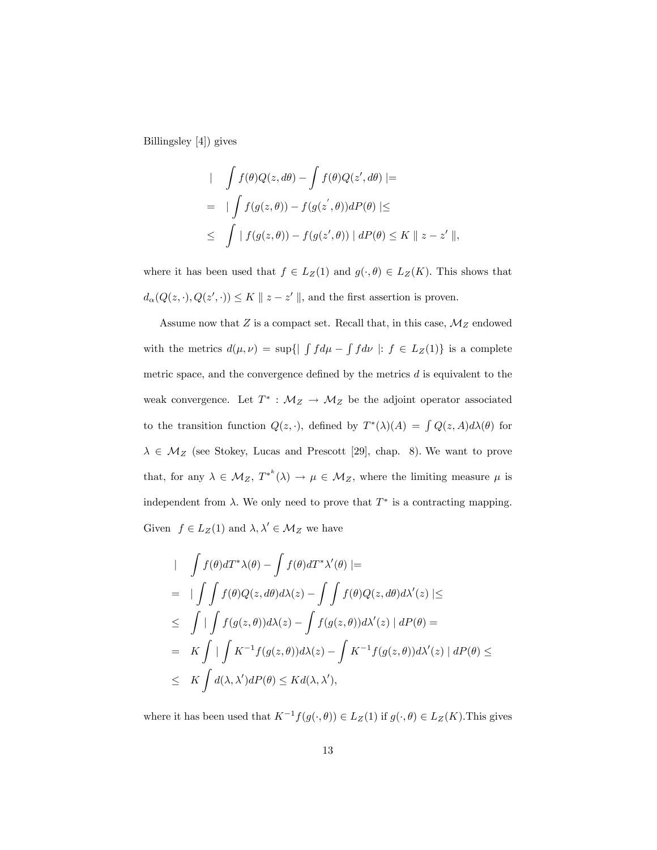Billingsley [4]) gives

$$
\int f(\theta)Q(z, d\theta) - \int f(\theta)Q(z', d\theta) \mid =
$$
\n
$$
= \int \int f(g(z, \theta)) - f(g(z', \theta))dP(\theta) \mid \le
$$
\n
$$
\leq \int |f(g(z, \theta)) - f(g(z', \theta))| dP(\theta) \leq K \|z - z'\|,
$$

where it has been used that  $f \in L_Z(1)$  and  $g(\cdot, \theta) \in L_Z(K)$ . This shows that  $d_{\alpha}(Q(z, \cdot), Q(z', \cdot)) \leq K \parallel z - z' \parallel$ , and the first assertion is proven.

Assume now that  $Z$  is a compact set. Recall that, in this case,  $\mathcal{M}_Z$  endowed with the metrics  $d(\mu, \nu) = \sup\{|\int f d\mu - \int f d\nu| : f \in L_Z(1)\}\)$  is a complete metric space, and the convergence defined by the metrics  $d$  is equivalent to the weak convergence. Let  $T^*$ :  $\mathcal{M}_Z \to \mathcal{M}_Z$  be the adjoint operator associated to the transition function  $Q(z, \cdot)$ , defined by  $T^*(\lambda)(A) = \int Q(z, A)d\lambda(\theta)$  for  $\lambda \in \mathcal{M}_Z$  (see Stokey, Lucas and Prescott [29], chap. 8). We want to prove that, for any  $\lambda \in M_Z$ ,  $T^{*^k}(\lambda) \to \mu \in M_Z$ , where the limiting measure  $\mu$  is independent from  $\lambda$ . We only need to prove that  $T^*$  is a contracting mapping. Given  $f \in L_Z(1)$  and  $\lambda, \lambda' \in \mathcal{M}_Z$  we have

$$
\int f(\theta)dT^*\lambda(\theta) - \int f(\theta)dT^*\lambda'(\theta) \mid =
$$
\n
$$
= \int \int f(\theta)Q(z, d\theta)d\lambda(z) - \int \int f(\theta)Q(z, d\theta)d\lambda'(z) \mid \le
$$
\n
$$
\leq \int \int \int f(g(z, \theta))d\lambda(z) - \int f(g(z, \theta))d\lambda'(z) \mid dP(\theta) =
$$
\n
$$
= K \int \int \int K^{-1}f(g(z, \theta))d\lambda(z) - \int K^{-1}f(g(z, \theta))d\lambda'(z) \mid dP(\theta) \le
$$
\n
$$
\leq K \int d(\lambda, \lambda')dP(\theta) \leq Kd(\lambda, \lambda'),
$$

where it has been used that  $K^{-1}f(g(\cdot, \theta)) \in L_Z(1)$  if  $g(\cdot, \theta) \in L_Z(K).$  This gives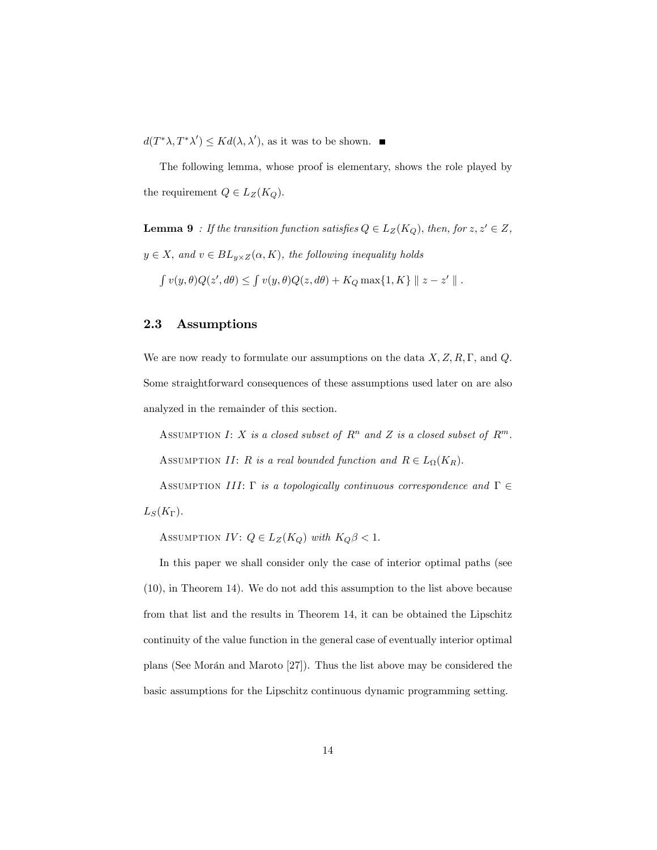$d(T^*\lambda, T^*\lambda') \leq K d(\lambda, \lambda'),$  as it was to be shown.

The following lemma, whose proof is elementary, shows the role played by the requirement  $Q \in L_Z(K_Q)$ .

**Lemma 9** : If the transition function satisfies  $Q \in L_Z(K_Q)$ , then, for  $z, z' \in Z$ ,  $y \in X$ , and  $v \in BL_{y\times Z}(\alpha, K)$ , the following inequality holds

 $\int v(y,\theta)Q(z',d\theta) \leq \int v(y,\theta)Q(z,d\theta) + K_Q \max\{1,K\} || z - z' ||.$ 

# 2.3 Assumptions

We are now ready to formulate our assumptions on the data  $X, Z, R, \Gamma$ , and  $Q$ . Some straightforward consequences of these assumptions used later on are also analyzed in the remainder of this section.

ASSUMPTION I: X is a closed subset of  $R^n$  and Z is a closed subset of  $R^m$ . ASSUMPTION II: R is a real bounded function and  $R \in L_{\Omega}(K_R)$ .

ASSUMPTION III:  $\Gamma$  is a topologically continuous correspondence and  $\Gamma \in$  $L_S(K_{\Gamma}).$ 

ASSUMPTION IV:  $Q \in L_Z(K_Q)$  with  $K_Q \beta < 1$ .

In this paper we shall consider only the case of interior optimal paths (see (10), in Theorem 14). We do not add this assumption to the list above because from that list and the results in Theorem 14, it can be obtained the Lipschitz continuity of the value function in the general case of eventually interior optimal plans (See Morán and Maroto  $[27]$ ). Thus the list above may be considered the basic assumptions for the Lipschitz continuous dynamic programming setting.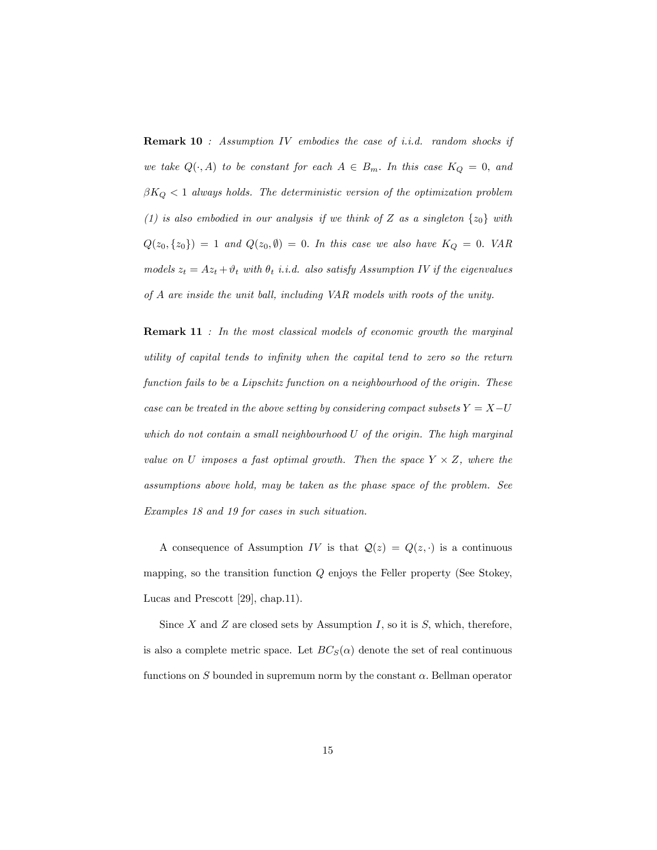Remark 10 : Assumption IV embodies the case of i.i.d. random shocks if we take  $Q(\cdot, A)$  to be constant for each  $A \in B_m$ . In this case  $K_Q = 0$ , and  $\beta K_Q < 1$  always holds. The deterministic version of the optimization problem (1) is also embodied in our analysis if we think of Z as a singleton  $\{z_0\}$  with  $Q(z_0, \{z_0\}) = 1$  and  $Q(z_0, \emptyset) = 0$ . In this case we also have  $K_Q = 0$ . VAR models  $z_t = Az_t + \vartheta_t$  with  $\theta_t$  i.i.d. also satisfy Assumption IV if the eigenvalues of A are inside the unit ball, including VAR models with roots of the unity.

**Remark 11** : In the most classical models of economic growth the marginal utility of capital tends to inÖnity when the capital tend to zero so the return function fails to be a Lipschitz function on a neighbourhood of the origin. These case can be treated in the above setting by considering compact subsets  $Y = X-U$ which do not contain a small neighbourhood U of the origin. The high marginal value on U imposes a fast optimal growth. Then the space  $Y \times Z$ , where the assumptions above hold, may be taken as the phase space of the problem. See Examples 18 and 19 for cases in such situation.

A consequence of Assumption IV is that  $\mathcal{Q}(z) = Q(z, \cdot)$  is a continuous mapping, so the transition function  $Q$  enjoys the Feller property (See Stokey, Lucas and Prescott [29], chap.11).

Since  $X$  and  $Z$  are closed sets by Assumption  $I$ , so it is  $S$ , which, therefore, is also a complete metric space. Let  $BC_S(\alpha)$  denote the set of real continuous functions on S bounded in supremum norm by the constant  $\alpha$ . Bellman operator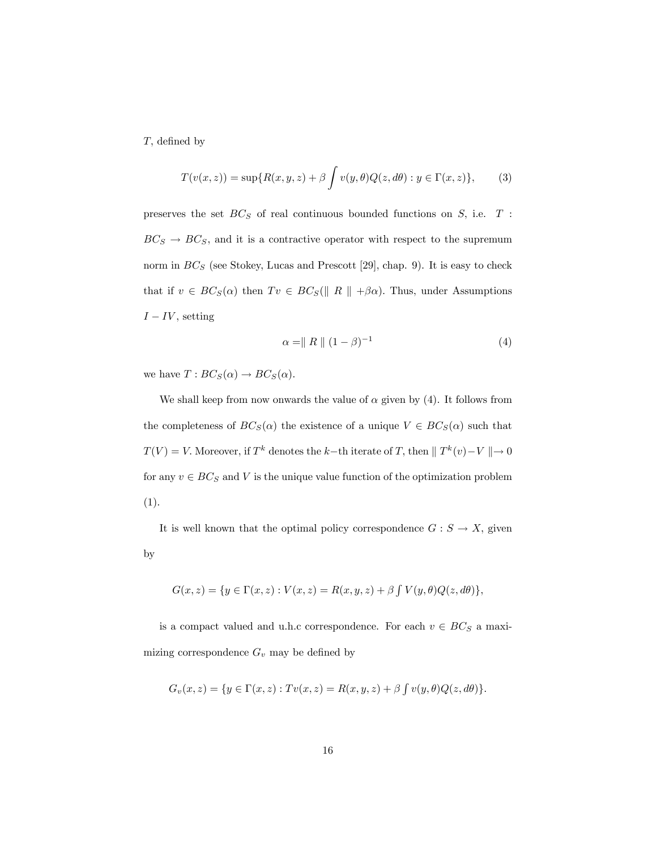$T$ , defined by

$$
T(v(x,z)) = \sup\{R(x,y,z) + \beta \int v(y,\theta)Q(z,d\theta) : y \in \Gamma(x,z)\},\qquad(3)
$$

preserves the set  $BC_S$  of real continuous bounded functions on  $S$ , i.e.  $T$ :  $BC_S \rightarrow BC_S$ , and it is a contractive operator with respect to the supremum norm in  $BC_S$  (see Stokey, Lucas and Prescott [29], chap. 9). It is easy to check that if  $v \in BC_S(\alpha)$  then  $Tv \in BC_S(\parallel R \parallel +\beta\alpha)$ . Thus, under Assumptions  $I - IV$ , setting

$$
\alpha = \| R \| (1 - \beta)^{-1}
$$
 (4)

we have  $T : BC_S(\alpha) \to BC_S(\alpha)$ .

We shall keep from now onwards the value of  $\alpha$  given by (4). It follows from the completeness of  $BC_S(\alpha)$  the existence of a unique  $V \in BC_S(\alpha)$  such that  $T(V) = V$ . Moreover, if  $T^k$  denotes the  $k$ -th iterate of T, then  $\|T^k(v) - V\| \to 0$ for any  $v \in BC_S$  and V is the unique value function of the optimization problem (1).

It is well known that the optimal policy correspondence  $G : S \to X$ , given by

$$
G(x, z) = \{ y \in \Gamma(x, z) : V(x, z) = R(x, y, z) + \beta \int V(y, \theta) Q(z, d\theta) \},
$$

is a compact valued and u.h.c correspondence. For each  $v$   $\in$   $BC_S$  a maximizing correspondence  $G_v$  may be defined by

$$
G_v(x, z) = \{ y \in \Gamma(x, z) : Tv(x, z) = R(x, y, z) + \beta \int v(y, \theta) Q(z, d\theta) \}.
$$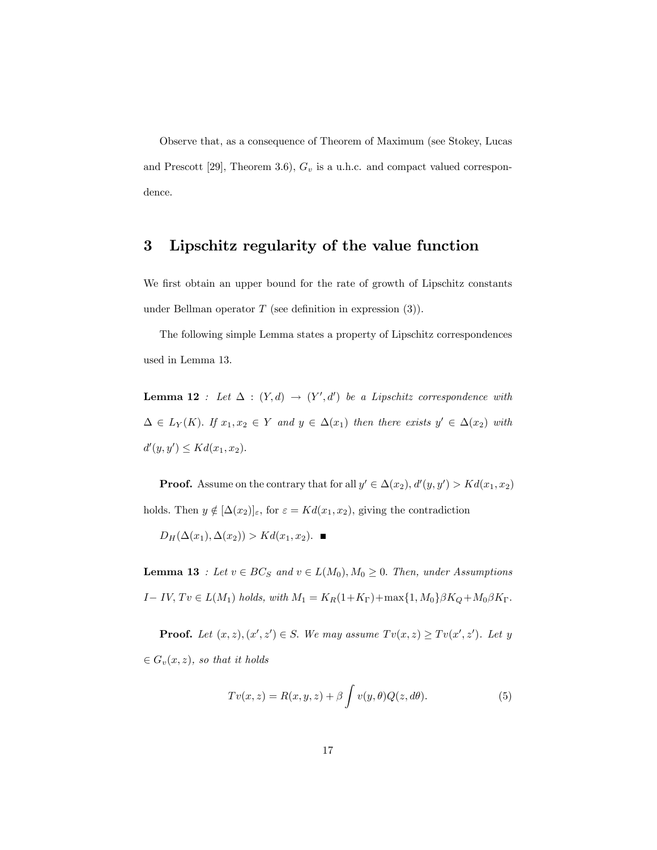Observe that, as a consequence of Theorem of Maximum (see Stokey, Lucas and Prescott [29], Theorem 3.6),  $G_v$  is a u.h.c. and compact valued correspondence.

# 3 Lipschitz regularity of the value function

We first obtain an upper bound for the rate of growth of Lipschitz constants under Bellman operator  $T$  (see definition in expression  $(3)$ ).

The following simple Lemma states a property of Lipschitz correspondences used in Lemma 13.

**Lemma 12** : Let  $\Delta$  :  $(Y,d) \rightarrow (Y',d')$  be a Lipschitz correspondence with  $\Delta \in L_Y(K)$ . If  $x_1, x_2 \in Y$  and  $y \in \Delta(x_1)$  then there exists  $y' \in \Delta(x_2)$  with  $d'(y, y') \leq K d(x_1, x_2).$ 

**Proof.** Assume on the contrary that for all  $y' \in \Delta(x_2)$ ,  $d'(y, y') > Kd(x_1, x_2)$ holds. Then  $y \notin [\Delta(x_2)]_{\varepsilon}$ , for  $\varepsilon = Kd(x_1, x_2)$ , giving the contradiction

$$
D_H(\Delta(x_1), \Delta(x_2)) > Kd(x_1, x_2).
$$

**Lemma 13** : Let  $v \in BC_S$  and  $v \in L(M_0), M_0 \ge 0$ . Then, under Assumptions  $I - IV$ ,  $Tv \in L(M_1)$  holds, with  $M_1 = K_R(1+K_{\Gamma}) + \max\{1, M_0\} \beta K_Q + M_0 \beta K_{\Gamma}$ .

**Proof.** Let  $(x, z), (x', z') \in S$ . We may assume  $Tv(x, z) \ge Tv(x', z')$ . Let y  $\in G_v(x, z)$ , so that it holds

$$
Tv(x, z) = R(x, y, z) + \beta \int v(y, \theta) Q(z, d\theta).
$$
 (5)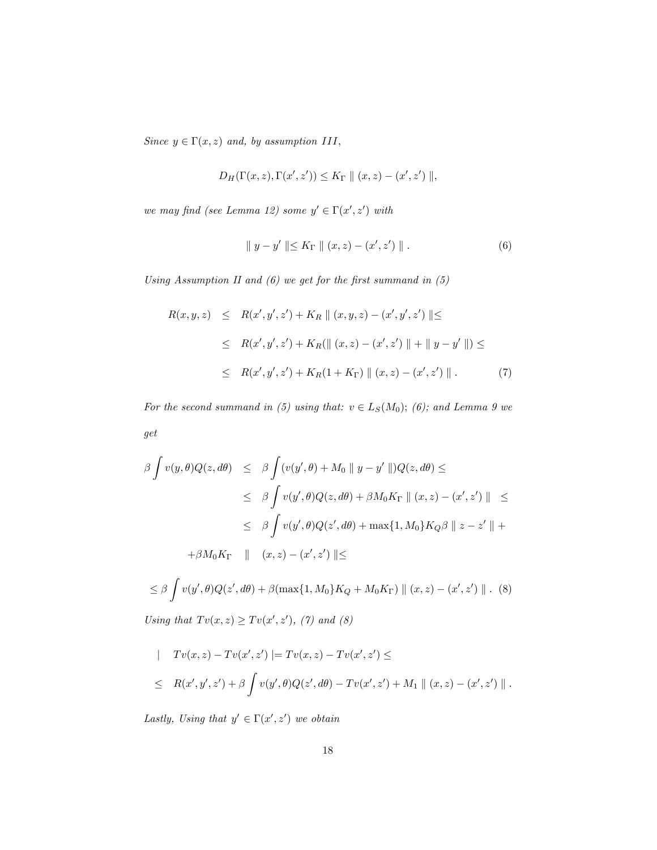Since  $y \in \Gamma(x, z)$  and, by assumption III,

$$
D_H(\Gamma(x, z), \Gamma(x', z')) \le K_{\Gamma} || (x, z) - (x', z') ||,
$$

we may find (see Lemma 12) some  $y' \in \Gamma(x', z')$  with

$$
\| y - y' \| \le K_{\Gamma} \| (x, z) - (x', z') \|.
$$
 (6)

Using Assumption II and  $(6)$  we get for the first summand in  $(5)$ 

$$
R(x, y, z) \leq R(x', y', z') + K_R || (x, y, z) - (x', y', z') || \leq
$$
  
\n
$$
\leq R(x', y', z') + K_R (|| (x, z) - (x', z') || + || y - y' ||) \leq
$$
  
\n
$$
\leq R(x', y', z') + K_R (1 + K_{\Gamma}) || (x, z) - (x', z') ||.
$$
 (7)

For the second summand in (5) using that:  $v \in L_S(M_0)$ ; (6); and Lemma 9 we get

$$
\beta \int v(y,\theta)Q(z,d\theta) \leq \beta \int (v(y',\theta) + M_0 \|y - y'\|)Q(z,d\theta) \leq
$$
  
\n
$$
\leq \beta \int v(y',\theta)Q(z,d\theta) + \beta M_0 K_{\Gamma} \| (x,z) - (x',z') \| \leq
$$
  
\n
$$
\leq \beta \int v(y',\theta)Q(z',d\theta) + \max\{1, M_0\}K_Q\beta \| z - z' \| +
$$
  
\n
$$
+ \beta M_0 K_{\Gamma} \| (x,z) - (x',z') \| \leq
$$
  
\n
$$
\leq \beta \int v(y',\theta)Q(z',d\theta) + \beta(\max\{1, M_0\}K_Q + M_0K_{\Gamma}) \| (x,z) - (x',z') \| .
$$
 (8)

Using that  $Tv(x, z) \ge Tv(x', z'),$  (7) and (8)

$$
\begin{aligned}\n| \quad Tv(x,z) - Tv(x',z')| &= Tv(x,z) - Tv(x',z') \leq \\
&\leq R(x',y',z') + \beta \int v(y',\theta)Q(z',d\theta) - Tv(x',z') + M_1 \parallel (x,z) - (x',z') \parallel.\n\end{aligned}
$$

Lastly, Using that  $y' \in \Gamma(x', z')$  we obtain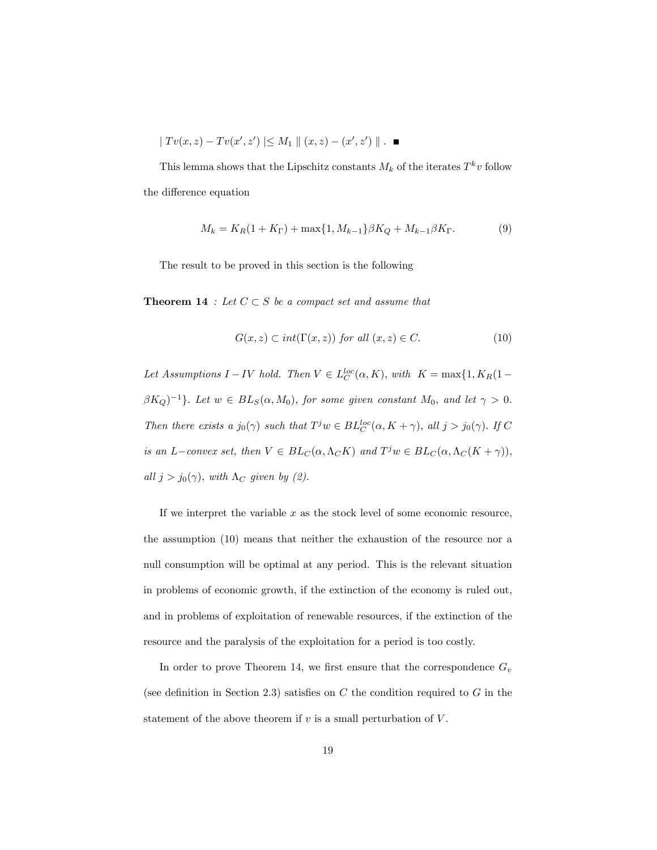$$
| Tv(x, z) - Tv(x', z') | \le M_1 || (x, z) - (x', z') ||.
$$

This lemma shows that the Lipschitz constants  $M_k$  of the iterates  $T^k v$  follow the difference equation

$$
M_k = K_R(1 + K_\Gamma) + \max\{1, M_{k-1}\}\beta K_Q + M_{k-1}\beta K_\Gamma.
$$
 (9)

The result to be proved in this section is the following

**Theorem 14** : Let  $C \subset S$  be a compact set and assume that

$$
G(x, z) \subset int(\Gamma(x, z)) \text{ for all } (x, z) \in C. \tag{10}
$$

Let Assumptions  $I - IV$  hold. Then  $V \in L_C^{loc}(\alpha, K)$ , with  $K = \max\{1, K_R(1 \beta K_Q$ )<sup>-1</sup>}. Let  $w \in BL_S(\alpha, M_0)$ , for some given constant  $M_0$ , and let  $\gamma > 0$ . Then there exists a  $j_0(\gamma)$  such that  $T^j w \in BL_C^{loc}(\alpha, K + \gamma)$ , all  $j > j_0(\gamma)$ . If C is an L-convex set, then  $V \in BL_C(\alpha, \Lambda_C K)$  and  $T^j w \in BL_C(\alpha, \Lambda_C (K + \gamma)),$ all  $j > j_0(\gamma)$ , with  $\Lambda_C$  given by (2).

If we interpret the variable  $x$  as the stock level of some economic resource, the assumption (10) means that neither the exhaustion of the resource nor a null consumption will be optimal at any period. This is the relevant situation in problems of economic growth, if the extinction of the economy is ruled out, and in problems of exploitation of renewable resources, if the extinction of the resource and the paralysis of the exploitation for a period is too costly.

In order to prove Theorem 14, we first ensure that the correspondence  $G_v$ (see definition in Section 2.3) satisfies on  $C$  the condition required to  $G$  in the statement of the above theorem if  $v$  is a small perturbation of  $V$ .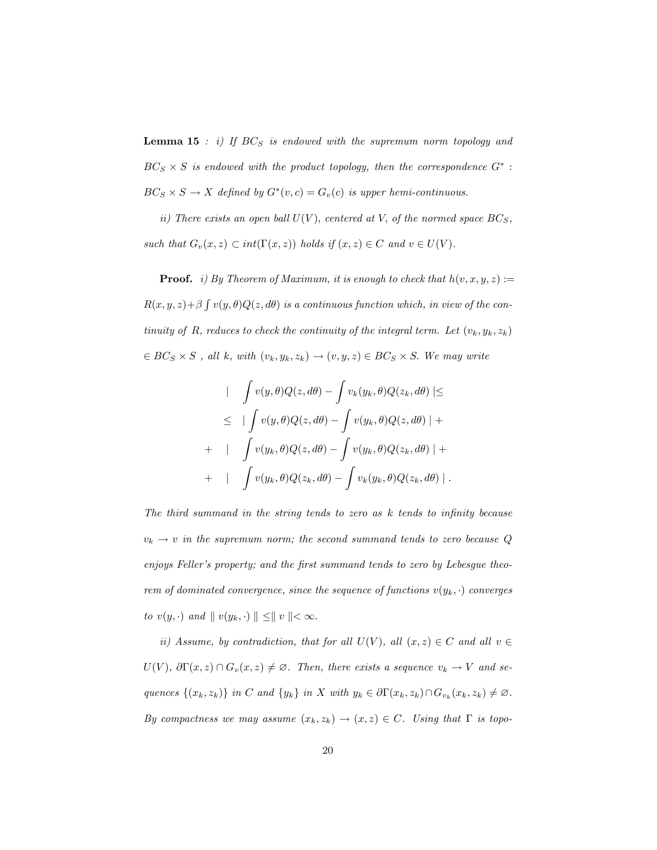**Lemma 15** : i) If  $BC_S$  is endowed with the supremum norm topology and  $BC_S \times S$  is endowed with the product topology, then the correspondence  $G^*$ :  $BC_S \times S \to X$  defined by  $G^*(v, c) = G_v(c)$  is upper hemi-continuous.

ii) There exists an open ball  $U(V)$ , centered at V, of the normed space  $BC_S$ , such that  $G_v(x, z) \subset int(\Gamma(x, z))$  holds if  $(x, z) \in C$  and  $v \in U(V)$ .

**Proof.** i) By Theorem of Maximum, it is enough to check that  $h(v, x, y, z) :=$  $R(x, y, z) + \beta \int v(y, \theta) Q(z, d\theta)$  is a continuous function which, in view of the continuity of R, reduces to check the continuity of the integral term. Let  $(v_k, y_k, z_k)$  $\in BC_S \times S$ , all k, with  $(v_k, y_k, z_k) \rightarrow (v, y, z) \in BC_S \times S$ . We may write

$$
\begin{aligned}\n&\quad \left| \quad \int v(y,\theta)Q(z,d\theta) - \int v_k(y_k,\theta)Q(z_k,d\theta) \right| &\leq \\
&\leq \quad \left| \int v(y,\theta)Q(z,d\theta) - \int v(y_k,\theta)Q(z,d\theta) \right| + \\
&\quad \left| \quad \int v(y_k,\theta)Q(z,d\theta) - \int v(y_k,\theta)Q(z_k,d\theta) \right| + \\
&\quad \left| \quad \int v(y_k,\theta)Q(z_k,d\theta) - \int v_k(y_k,\theta)Q(z_k,d\theta) \right|.\n\end{aligned}
$$

The third summand in the string tends to zero as  $k$  tends to infinity because  $v_k \rightarrow v$  in the supremum norm; the second summand tends to zero because Q enjoys Feller's property; and the first summand tends to zero by Lebesgue theorem of dominated convergence, since the sequence of functions  $v(y_k, \cdot)$  converges to  $v(y, \cdot)$  and  $\parallel v(y_k, \cdot) \parallel \leq \parallel v \parallel < \infty$ .

ii) Assume, by contradiction, that for all  $U(V)$ , all  $(x, z) \in C$  and all  $v \in$  $U(V)$ ,  $\partial \Gamma(x, z) \cap G_v(x, z) \neq \emptyset$ . Then, there exists a sequence  $v_k \to V$  and sequences  $\{(x_k, z_k)\}\$ in C and  $\{y_k\}$ in X with  $y_k \in \partial \Gamma(x_k, z_k) \cap G_{v_k}(x_k, z_k) \neq \emptyset$ . By compactness we may assume  $(x_k, z_k) \rightarrow (x, z) \in C$ . Using that  $\Gamma$  is topo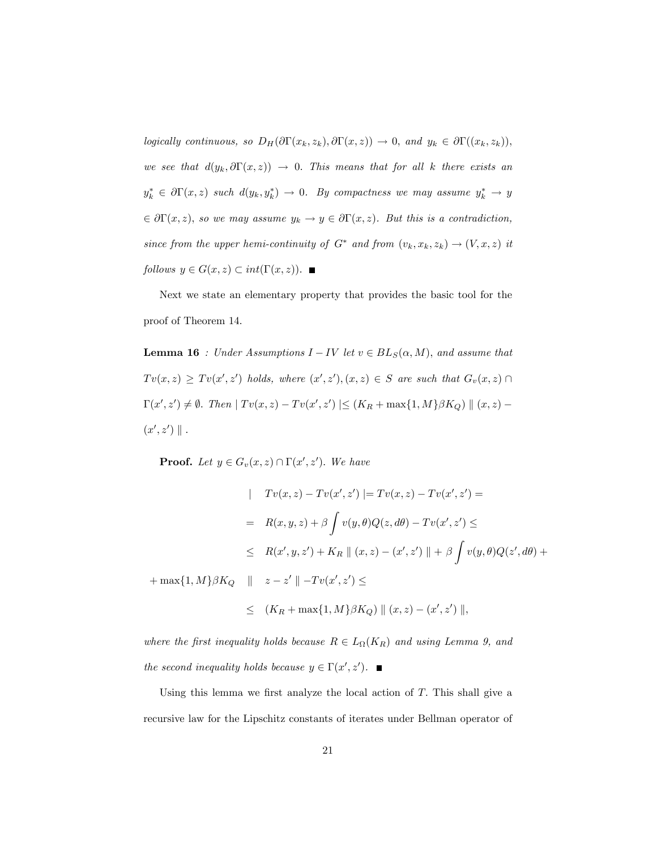logically continuous, so  $D_H(\partial \Gamma(x_k, z_k), \partial \Gamma(x, z)) \to 0$ , and  $y_k \in \partial \Gamma((x_k, z_k)),$ we see that  $d(y_k, \partial \Gamma(x, z)) \rightarrow 0$ . This means that for all k there exists an  $y_k^* \in \partial \Gamma(x, z)$  such  $d(y_k, y_k^*) \to 0$ . By compactness we may assume  $y_k^* \to y$  $\in \partial \Gamma(x, z)$ , so we may assume  $y_k \to y \in \partial \Gamma(x, z)$ . But this is a contradiction, since from the upper hemi-continuity of  $G^*$  and from  $(v_k, x_k, z_k) \rightarrow (V, x, z)$  it follows  $y \in G(x, z) \subset int(\Gamma(x, z))$ .

Next we state an elementary property that provides the basic tool for the proof of Theorem 14.

**Lemma 16** : Under Assumptions  $I - IV$  let  $v \in BL_S(\alpha, M)$ , and assume that  $Tv(x, z) \geq Tv(x', z')$  holds, where  $(x', z'), (x, z) \in S$  are such that  $G_v(x, z) \cap$  $\Gamma(x', z') \neq \emptyset$ . Then  $|Tv(x, z) - Tv(x', z')| \leq (K_R + \max\{1, M\}\beta K_Q) || (x, z) (x', z') \parallel$ .

**Proof.** Let  $y \in G_v(x, z) \cap \Gamma(x', z')$ . We have

$$
| Tv(x, z) - Tv(x', z') | = Tv(x, z) - Tv(x', z') =
$$
  
\n
$$
= R(x, y, z) + \beta \int v(y, \theta) Q(z, d\theta) - Tv(x', z') \le
$$
  
\n
$$
\le R(x', y, z') + K_R || (x, z) - (x', z') || + \beta \int v(y, \theta) Q(z', d\theta) +
$$
  
\n
$$
+ max\{1, M\} \beta K_Q || z - z' || - Tv(x', z') \le
$$
  
\n
$$
\le (K_R + max\{1, M\} \beta K_Q) || (x, z) - (x', z') ||,
$$

where the first inequality holds because  $R \in L_{\Omega}(K_R)$  and using Lemma 9, and the second inequality holds because  $y \in \Gamma(x', z')$ .

Using this lemma we first analyze the local action of  $T$ . This shall give a recursive law for the Lipschitz constants of iterates under Bellman operator of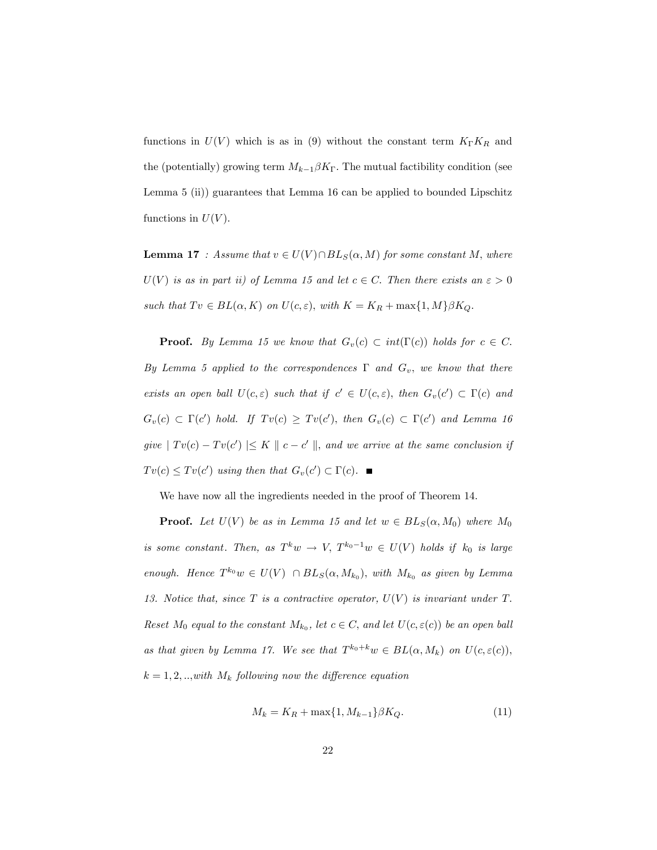functions in  $U(V)$  which is as in (9) without the constant term  $K_{\Gamma}K_{R}$  and the (potentially) growing term  $M_{k-1}\beta K_{\Gamma}$ . The mutual factibility condition (see Lemma 5 (ii)) guarantees that Lemma 16 can be applied to bounded Lipschitz functions in  $U(V)$ .

**Lemma 17** : Assume that  $v \in U(V) \cap BL_S(\alpha, M)$  for some constant M, where  $U(V)$  is as in part ii) of Lemma 15 and let  $c \in C$ . Then there exists an  $\varepsilon > 0$ such that  $Tv \in BL(\alpha, K)$  on  $U(c, \varepsilon)$ , with  $K = K_R + \max\{1, M\} \beta K_Q$ .

**Proof.** By Lemma 15 we know that  $G_v(c) \subset int(\Gamma(c))$  holds for  $c \in C$ . By Lemma 5 applied to the correspondences  $\Gamma$  and  $G_v$ , we know that there exists an open ball  $U(c, \varepsilon)$  such that if  $c' \in U(c, \varepsilon)$ , then  $G_v(c') \subset \Gamma(c)$  and  $G_v(c) \subset \Gamma(c')$  hold. If  $Tv(c) \ge Tv(c')$ , then  $G_v(c) \subset \Gamma(c')$  and Lemma 16 give  $|Tv(c) - Tv(c')| \leq K \parallel c - c' \parallel$ , and we arrive at the same conclusion if  $Tv(c) \le Tv(c')$  using then that  $G_v(c') \subset \Gamma(c)$ .

We have now all the ingredients needed in the proof of Theorem 14.

**Proof.** Let  $U(V)$  be as in Lemma 15 and let  $w \in BL_S(\alpha, M_0)$  where  $M_0$ is some constant. Then, as  $T^k w \to V$ ,  $T^{k_0-1} w \in U(V)$  holds if  $k_0$  is large enough. Hence  $T^{k_0}w \in U(V) \cap BL_S(\alpha, M_{k_0}),$  with  $M_{k_0}$  as given by Lemma 13. Notice that, since  $T$  is a contractive operator,  $U(V)$  is invariant under  $T$ . Reset  $M_0$  equal to the constant  $M_{k_0}$ , let  $c \in C$ , and let  $U(c, \varepsilon(c))$  be an open ball as that given by Lemma 17. We see that  $T^{k_0+k}w \in BL(\alpha, M_k)$  on  $U(c, \varepsilon(c)),$  $k = 1, 2, \ldots$  with  $M_k$  following now the difference equation

$$
M_k = K_R + \max\{1, M_{k-1}\}\beta K_Q.
$$
 (11)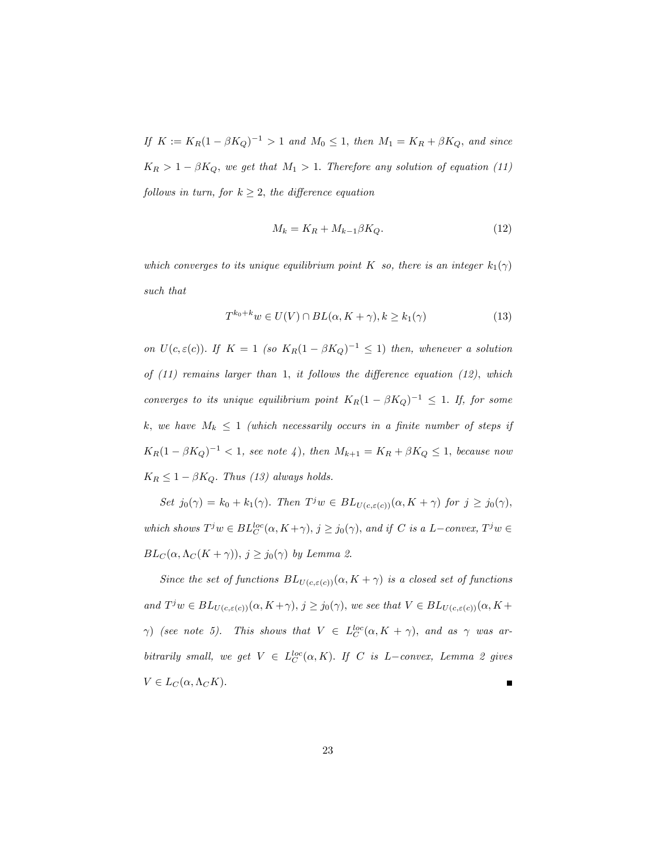If  $K := K_R(1 - \beta K_Q)^{-1} > 1$  and  $M_0 \le 1$ , then  $M_1 = K_R + \beta K_Q$ , and since  $K_R > 1 - \beta K_Q$ , we get that  $M_1 > 1$ . Therefore any solution of equation (11) follows in turn, for  $k \geq 2$ , the difference equation

$$
M_k = K_R + M_{k-1}\beta K_Q. \tag{12}
$$

which converges to its unique equilibrium point K so, there is an integer  $k_1(\gamma)$ such that

$$
T^{k_0+k}w \in U(V) \cap BL(\alpha, K+\gamma), k \ge k_1(\gamma)
$$
\n(13)

on  $U(c, \varepsilon(c))$ . If  $K = 1$  (so  $K_R(1 - \beta K_Q)^{-1} \leq 1$ ) then, whenever a solution of  $(11)$  remains larger than 1, it follows the difference equation  $(12)$ , which converges to its unique equilibrium point  $K_R(1 - \beta K_Q)^{-1} \leq 1$ . If, for some k, we have  $M_k \leq 1$  (which necessarily occurs in a finite number of steps if  $K_R(1 - \beta K_Q)^{-1} < 1$ , see note 4), then  $M_{k+1} = K_R + \beta K_Q \le 1$ , because now  $K_R \leq 1 - \beta K_Q$ . Thus (13) always holds.

Set  $j_0(\gamma) = k_0 + k_1(\gamma)$ . Then  $T^j w \in BL_{U(c, \varepsilon(c))}(\alpha, K + \gamma)$  for  $j \geq j_0(\gamma)$ , which shows  $T^j w \in BL_{C}^{loc}(\alpha, K + \gamma), j \geq j_0(\gamma)$ , and if C is a L-convex,  $T^j w \in$  $BL_C(\alpha, \Lambda_C(K + \gamma)), j \geq j_0(\gamma)$  by Lemma 2.

Since the set of functions  $BL_{U(c,\varepsilon(c))}(\alpha, K + \gamma)$  is a closed set of functions and  $T^j w \in BL_{U(c,\varepsilon(c))}(\alpha, K + \gamma), j \geq j_0(\gamma)$ , we see that  $V \in BL_{U(c,\varepsilon(c))}(\alpha, K + \gamma)$  $\gamma$ ) (see note 5). This shows that  $V \in L_C^{loc}(\alpha, K + \gamma)$ , and as  $\gamma$  was arbitrarily small, we get  $V \in L_C^{loc}(\alpha, K)$ . If C is L-convex, Lemma 2 gives  $V \in L_C(\alpha, \Lambda_C K).$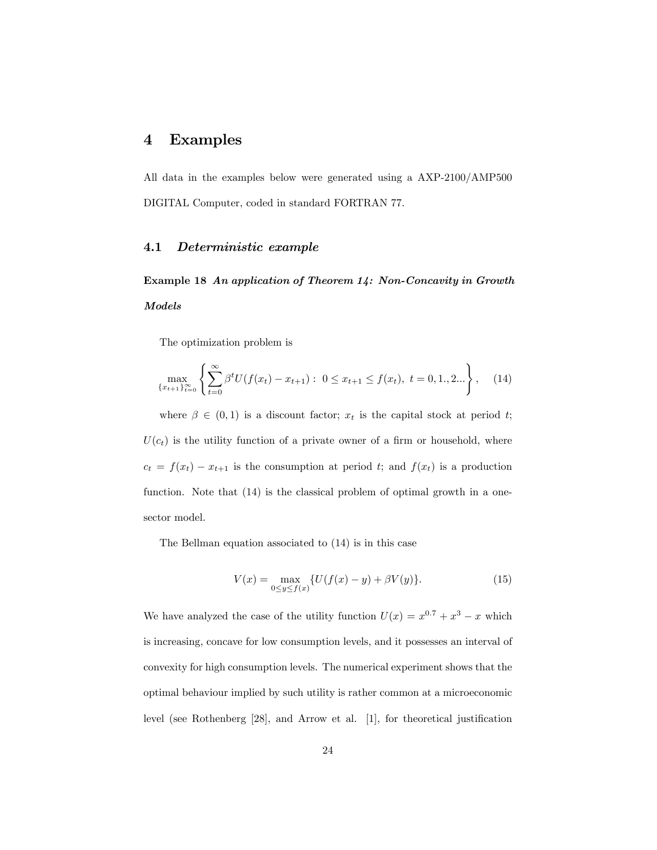# 4 Examples

All data in the examples below were generated using a AXP-2100/AMP500 DIGITAL Computer, coded in standard FORTRAN 77.

## 4.1 Deterministic example

Example 18 An application of Theorem 14: Non-Concavity in Growth Models

The optimization problem is

$$
\max_{\{x_{t+1}\}_{t=0}^{\infty}} \left\{ \sum_{t=0}^{\infty} \beta^t U(f(x_t) - x_{t+1}) : 0 \le x_{t+1} \le f(x_t), \ t = 0, 1, 2... \right\}, \tag{14}
$$

where  $\beta \in (0,1)$  is a discount factor;  $x_t$  is the capital stock at period t;  $U(c_t)$  is the utility function of a private owner of a firm or household, where  $c_t = f(x_t) - x_{t+1}$  is the consumption at period t; and  $f(x_t)$  is a production function. Note that  $(14)$  is the classical problem of optimal growth in a onesector model.

The Bellman equation associated to (14) is in this case

$$
V(x) = \max_{0 \le y \le f(x)} \{ U(f(x) - y) + \beta V(y) \}.
$$
 (15)

We have analyzed the case of the utility function  $U(x) = x^{0.7} + x^3 - x$  which is increasing, concave for low consumption levels, and it possesses an interval of convexity for high consumption levels. The numerical experiment shows that the optimal behaviour implied by such utility is rather common at a microeconomic level (see Rothenberg  $[28]$ , and Arrow et al.  $[1]$ , for theoretical justification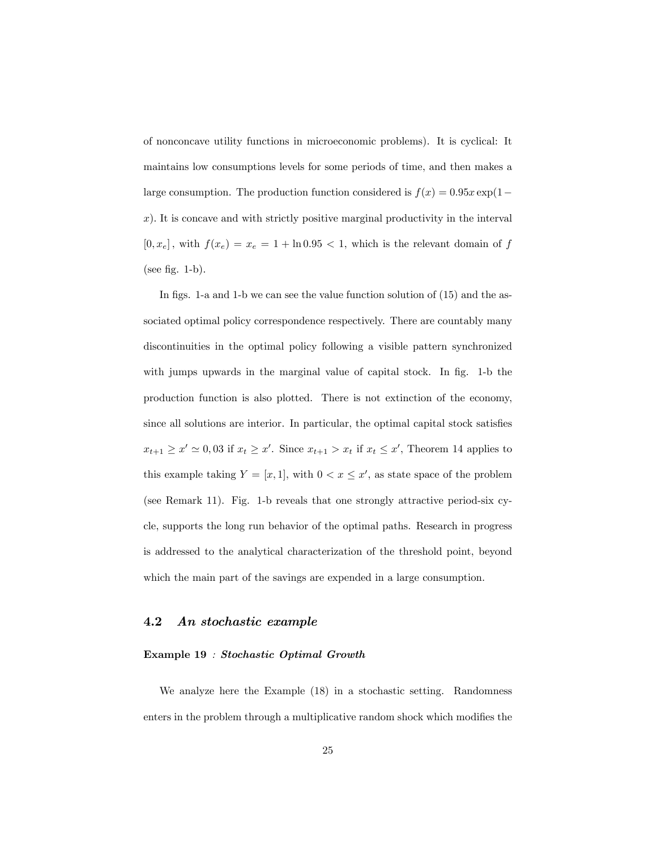of nonconcave utility functions in microeconomic problems). It is cyclical: It maintains low consumptions levels for some periods of time, and then makes a large consumption. The production function considered is  $f(x) = 0.95x \exp(1$  $x$ ). It is concave and with strictly positive marginal productivity in the interval  $[0, x_e]$ , with  $f(x_e) = x_e = 1 + \ln 0.95 < 1$ , which is the relevant domain of f (see fig.  $1-b$ ).

In figs. 1-a and 1-b we can see the value function solution of  $(15)$  and the associated optimal policy correspondence respectively. There are countably many discontinuities in the optimal policy following a visible pattern synchronized with jumps upwards in the marginal value of capital stock. In fig. 1-b the production function is also plotted. There is not extinction of the economy, since all solutions are interior. In particular, the optimal capital stock satisfies  $x_{t+1} \geq x' \simeq 0,03$  if  $x_t \geq x'$ . Since  $x_{t+1} > x_t$  if  $x_t \leq x'$ , Theorem 14 applies to this example taking  $Y = [x, 1]$ , with  $0 < x \leq x'$ , as state space of the problem (see Remark 11). Fig. 1-b reveals that one strongly attractive period-six cycle, supports the long run behavior of the optimal paths. Research in progress is addressed to the analytical characterization of the threshold point, beyond which the main part of the savings are expended in a large consumption.

# 4.2 An stochastic example

## Example 19 : Stochastic Optimal Growth

We analyze here the Example (18) in a stochastic setting. Randomness enters in the problem through a multiplicative random shock which modifies the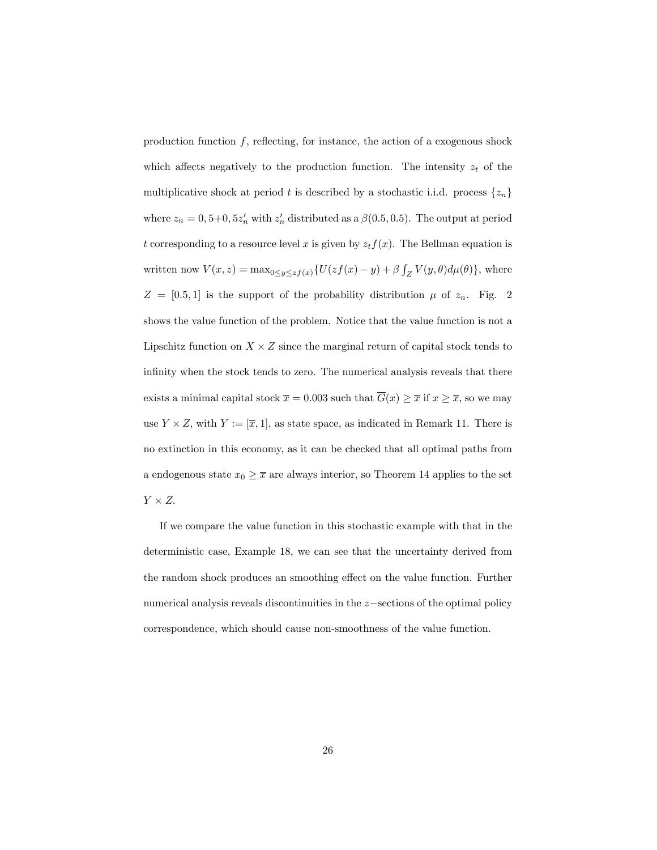production function  $f$ , reflecting, for instance, the action of a exogenous shock which affects negatively to the production function. The intensity  $z_t$  of the multiplicative shock at period t is described by a stochastic i.i.d. process  $\{z_n\}$ where  $z_n = 0, 5+0, 5z'_n$  with  $z'_n$  distributed as a  $\beta(0.5, 0.5)$ . The output at period t corresponding to a resource level x is given by  $z_t f(x)$ . The Bellman equation is written now  $V(x, z) = \max_{0 \le y \le z} f(x) \{U( z f(x) - y) + \beta \int_Z V(y, \theta) d\mu(\theta) \},\$  where  $Z = [0.5, 1]$  is the support of the probability distribution  $\mu$  of  $z_n$ . Fig. 2 shows the value function of the problem. Notice that the value function is not a Lipschitz function on  $X \times Z$  since the marginal return of capital stock tends to infinity when the stock tends to zero. The numerical analysis reveals that there exists a minimal capital stock  $\bar{x} = 0.003$  such that  $\bar{G}(x) \ge \bar{x}$  if  $x \ge \bar{x}$ , so we may use  $Y \times Z$ , with  $Y := [\overline{x}, 1]$ , as state space, as indicated in Remark 11. There is no extinction in this economy, as it can be checked that all optimal paths from a endogenous state  $x_0 \geq \overline{x}$  are always interior, so Theorem 14 applies to the set  $Y \times Z$ .

If we compare the value function in this stochastic example with that in the deterministic case, Example 18, we can see that the uncertainty derived from the random shock produces an smoothing effect on the value function. Further numerical analysis reveals discontinuities in the  $z$ -sections of the optimal policy correspondence, which should cause non-smoothness of the value function.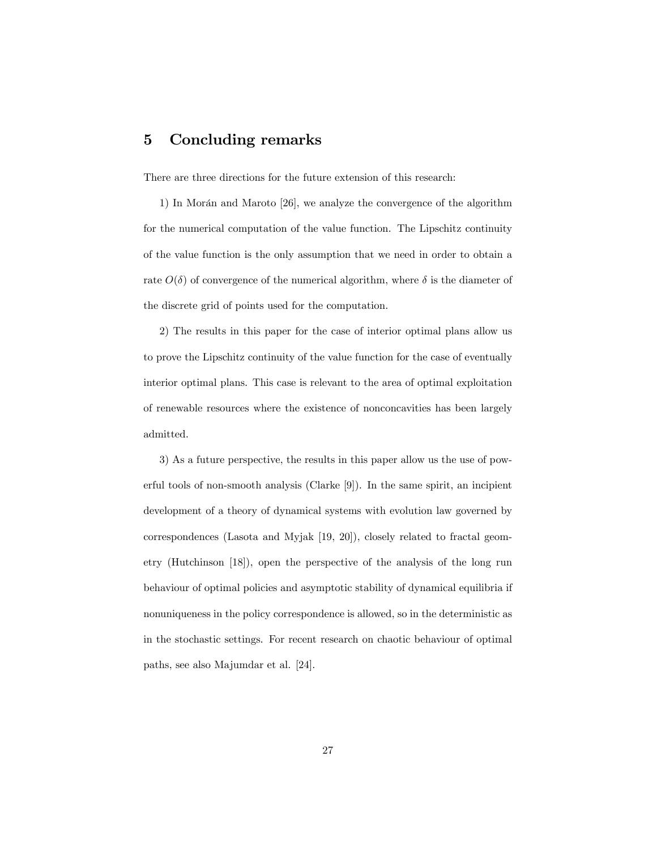# 5 Concluding remarks

There are three directions for the future extension of this research:

1) In Morán and Maroto  $[26]$ , we analyze the convergence of the algorithm for the numerical computation of the value function. The Lipschitz continuity of the value function is the only assumption that we need in order to obtain a rate  $O(\delta)$  of convergence of the numerical algorithm, where  $\delta$  is the diameter of the discrete grid of points used for the computation.

2) The results in this paper for the case of interior optimal plans allow us to prove the Lipschitz continuity of the value function for the case of eventually interior optimal plans. This case is relevant to the area of optimal exploitation of renewable resources where the existence of nonconcavities has been largely admitted.

3) As a future perspective, the results in this paper allow us the use of powerful tools of non-smooth analysis (Clarke [9]). In the same spirit, an incipient development of a theory of dynamical systems with evolution law governed by correspondences (Lasota and Myjak [19, 20]), closely related to fractal geometry (Hutchinson [18]), open the perspective of the analysis of the long run behaviour of optimal policies and asymptotic stability of dynamical equilibria if nonuniqueness in the policy correspondence is allowed, so in the deterministic as in the stochastic settings. For recent research on chaotic behaviour of optimal paths, see also Majumdar et al. [24].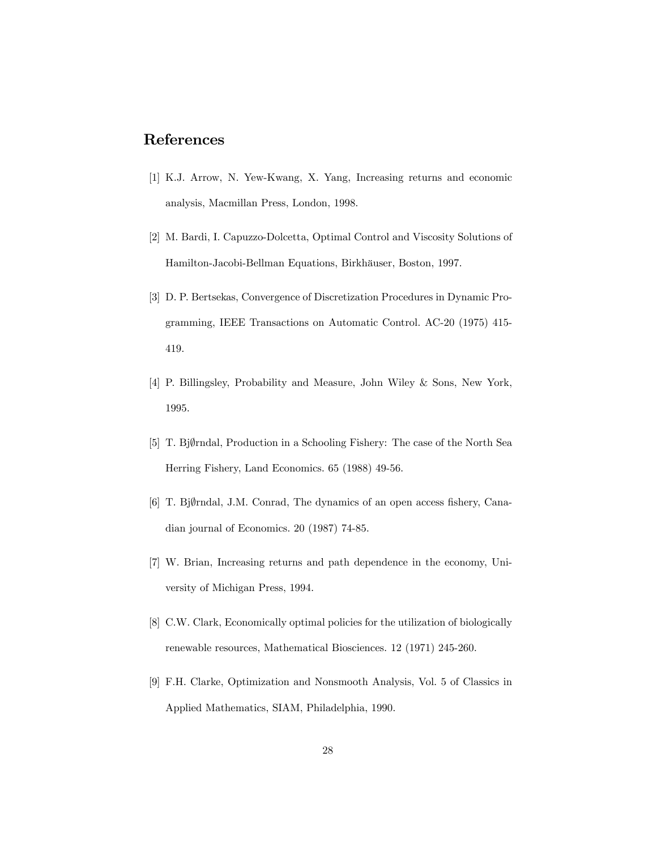# References

- [1] K.J. Arrow, N. Yew-Kwang, X. Yang, Increasing returns and economic analysis, Macmillan Press, London, 1998.
- [2] M. Bardi, I. Capuzzo-Dolcetta, Optimal Control and Viscosity Solutions of Hamilton-Jacobi-Bellman Equations, Birkhäuser, Boston, 1997.
- [3] D. P. Bertsekas, Convergence of Discretization Procedures in Dynamic Programming, IEEE Transactions on Automatic Control. AC-20 (1975) 415- 419.
- [4] P. Billingsley, Probability and Measure, John Wiley & Sons, New York, 1995.
- [5] T. Bjørndal, Production in a Schooling Fishery: The case of the North Sea Herring Fishery, Land Economics. 65 (1988) 49-56.
- [6] T. Bj $\emptyset$ rndal, J.M. Conrad, The dynamics of an open access fishery, Canadian journal of Economics. 20 (1987) 74-85.
- [7] W. Brian, Increasing returns and path dependence in the economy, University of Michigan Press, 1994.
- [8] C.W. Clark, Economically optimal policies for the utilization of biologically renewable resources, Mathematical Biosciences. 12 (1971) 245-260.
- [9] F.H. Clarke, Optimization and Nonsmooth Analysis, Vol. 5 of Classics in Applied Mathematics, SIAM, Philadelphia, 1990.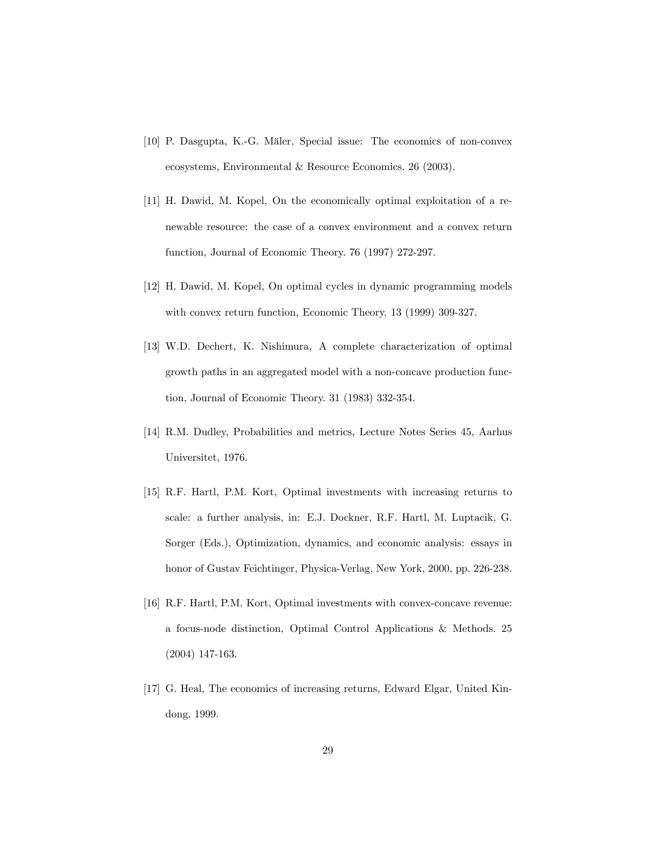- [10] P. Dasgupta, K.-G. Mäler, Special issue: The economics of non-convex ecosystems, Environmental & Resource Economics. 26 (2003).
- [11] H. Dawid, M. Kopel, On the economically optimal exploitation of a renewable resource: the case of a convex environment and a convex return function, Journal of Economic Theory. 76 (1997) 272-297.
- [12] H. Dawid, M. Kopel, On optimal cycles in dynamic programming models with convex return function, Economic Theory. 13 (1999) 309-327.
- [13] W.D. Dechert, K. Nishimura, A complete characterization of optimal growth paths in an aggregated model with a non-concave production function, Journal of Economic Theory. 31 (1983) 332-354.
- [14] R.M. Dudley, Probabilities and metrics, Lecture Notes Series 45, Aarhus Universitet, 1976.
- [15] R.F. Hartl, P.M. Kort, Optimal investments with increasing returns to scale: a further analysis, in: E.J. Dockner, R.F. Hartl, M. Luptacik, G. Sorger (Eds.), Optimization, dynamics, and economic analysis: essays in honor of Gustav Feichtinger, Physica-Verlag, New York, 2000, pp. 226-238.
- [16] R.F. Hartl, P.M. Kort, Optimal investments with convex-concave revenue: a focus-node distinction, Optimal Control Applications & Methods. 25 (2004) 147-163.
- [17] G. Heal, The economics of increasing returns, Edward Elgar, United Kindong, 1999.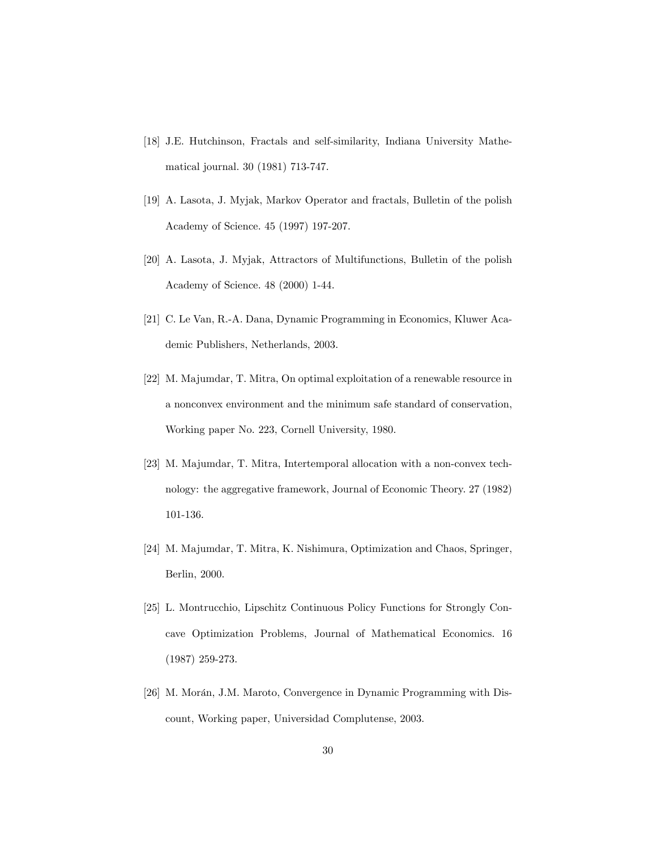- [18] J.E. Hutchinson, Fractals and self-similarity, Indiana University Mathematical journal. 30 (1981) 713-747.
- [19] A. Lasota, J. Myjak, Markov Operator and fractals, Bulletin of the polish Academy of Science. 45 (1997) 197-207.
- [20] A. Lasota, J. Myjak, Attractors of Multifunctions, Bulletin of the polish Academy of Science. 48 (2000) 1-44.
- [21] C. Le Van, R.-A. Dana, Dynamic Programming in Economics, Kluwer Academic Publishers, Netherlands, 2003.
- [22] M. Majumdar, T. Mitra, On optimal exploitation of a renewable resource in a nonconvex environment and the minimum safe standard of conservation, Working paper No. 223, Cornell University, 1980.
- [23] M. Majumdar, T. Mitra, Intertemporal allocation with a non-convex technology: the aggregative framework, Journal of Economic Theory. 27 (1982) 101-136.
- [24] M. Majumdar, T. Mitra, K. Nishimura, Optimization and Chaos, Springer, Berlin, 2000.
- [25] L. Montrucchio, Lipschitz Continuous Policy Functions for Strongly Concave Optimization Problems, Journal of Mathematical Economics. 16 (1987) 259-273.
- [26] M. Morán, J.M. Maroto, Convergence in Dynamic Programming with Discount, Working paper, Universidad Complutense, 2003.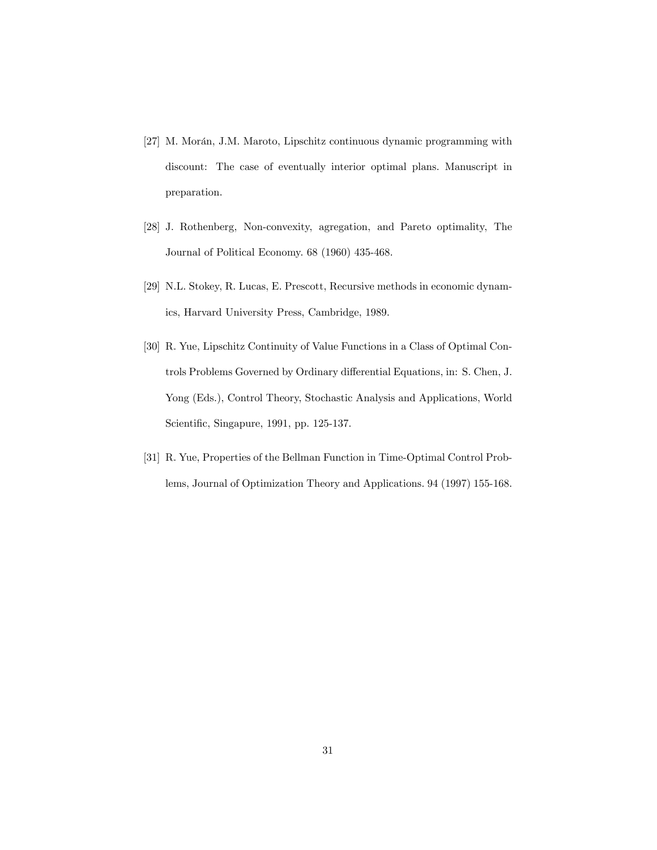- [27] M. Morán, J.M. Maroto, Lipschitz continuous dynamic programming with discount: The case of eventually interior optimal plans. Manuscript in preparation.
- [28] J. Rothenberg, Non-convexity, agregation, and Pareto optimality, The Journal of Political Economy. 68 (1960) 435-468.
- [29] N.L. Stokey, R. Lucas, E. Prescott, Recursive methods in economic dynamics, Harvard University Press, Cambridge, 1989.
- [30] R. Yue, Lipschitz Continuity of Value Functions in a Class of Optimal Controls Problems Governed by Ordinary differential Equations, in: S. Chen, J. Yong (Eds.), Control Theory, Stochastic Analysis and Applications, World Scientific, Singapure, 1991, pp. 125-137.
- [31] R. Yue, Properties of the Bellman Function in Time-Optimal Control Problems, Journal of Optimization Theory and Applications. 94 (1997) 155-168.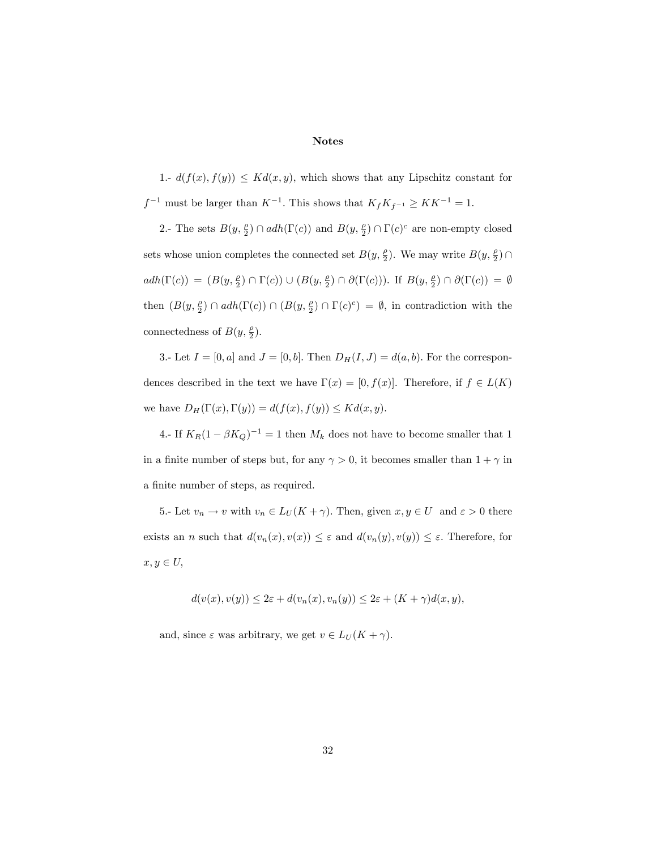## Notes

1.-  $d(f(x), f(y)) \leq Kd(x, y)$ , which shows that any Lipschitz constant for  $f^{-1}$  must be larger than  $K^{-1}$ . This shows that  $K_f K_{f^{-1}} \geq K K^{-1} = 1$ .

2.- The sets  $B(y, \frac{\rho}{2}) \cap adh(\Gamma(c))$  and  $B(y, \frac{\rho}{2}) \cap \Gamma(c)^c$  are non-empty closed sets whose union completes the connected set  $B(y, \frac{\rho}{2})$ . We may write  $B(y, \frac{\rho}{2}) \cap$  $adh(\Gamma(c)) = (B(y, \frac{\rho}{2}) \cap \Gamma(c)) \cup (B(y, \frac{\rho}{2}) \cap \partial(\Gamma(c)))$ . If  $B(y, \frac{\rho}{2}) \cap \partial(\Gamma(c)) = \emptyset$ then  $(B(y, \frac{\rho}{2}) \cap adh(\Gamma(c)) \cap (B(y, \frac{\rho}{2}) \cap \Gamma(c)^c) = \emptyset$ , in contradiction with the connectedness of  $B(y, \frac{\rho}{2})$ .

3.- Let  $I = [0, a]$  and  $J = [0, b]$ . Then  $D_H(I, J) = d(a, b)$ . For the correspondences described in the text we have  $\Gamma(x) = [0, f(x)]$ . Therefore, if  $f \in L(K)$ we have  $D_H(\Gamma(x), \Gamma(y)) = d(f(x), f(y)) \leq Kd(x, y).$ 

4.- If  $K_R(1 - \beta K_Q)^{-1} = 1$  then  $M_k$  does not have to become smaller that 1 in a finite number of steps but, for any  $\gamma > 0$ , it becomes smaller than  $1 + \gamma$  in a finite number of steps, as required.

5.- Let  $v_n \to v$  with  $v_n \in L_U(K + \gamma)$ . Then, given  $x, y \in U$  and  $\varepsilon > 0$  there exists an n such that  $d(v_n(x), v(x)) \leq \varepsilon$  and  $d(v_n(y), v(y)) \leq \varepsilon$ . Therefore, for  $x, y \in U$ 

$$
d(v(x),v(y)) \leq 2\varepsilon + d(v_n(x),v_n(y)) \leq 2\varepsilon + (K+\gamma)d(x,y),
$$

and, since  $\varepsilon$  was arbitrary, we get  $v \in L_U (K + \gamma)$ .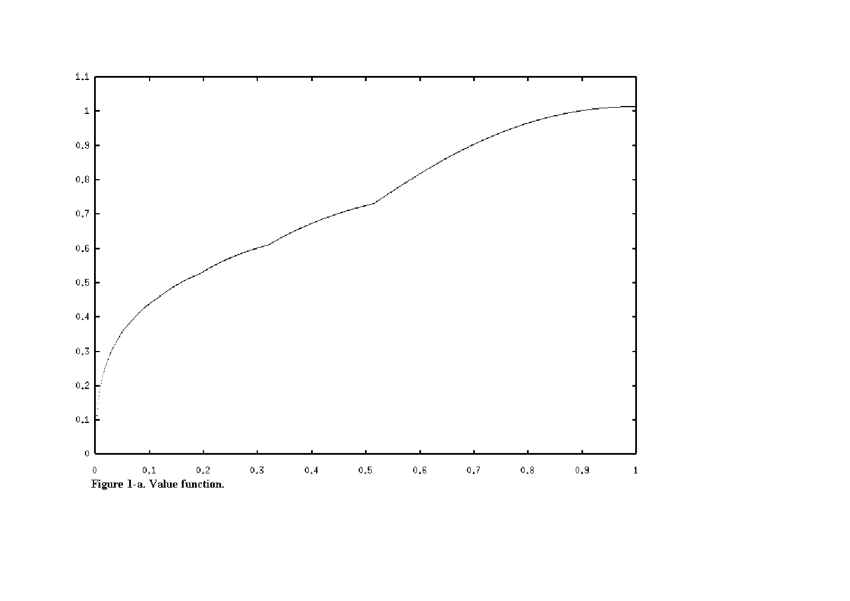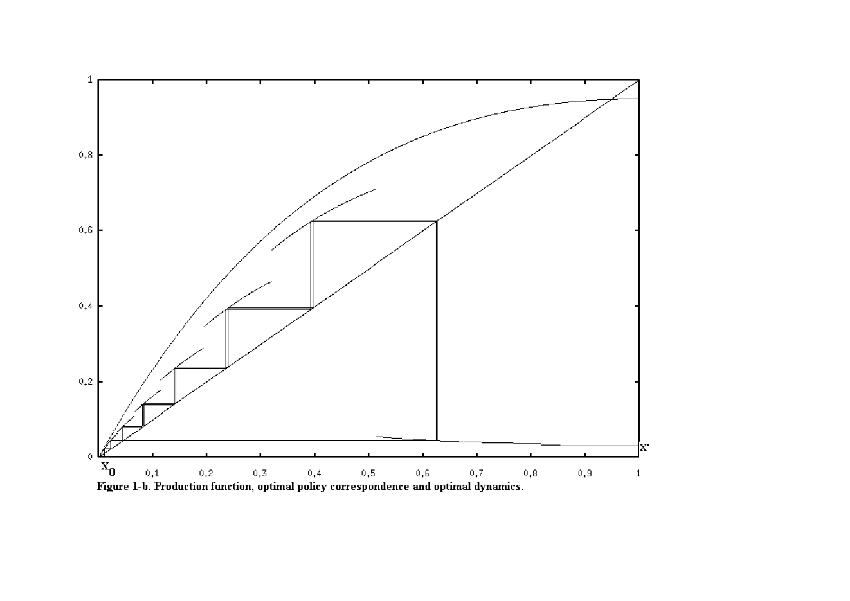